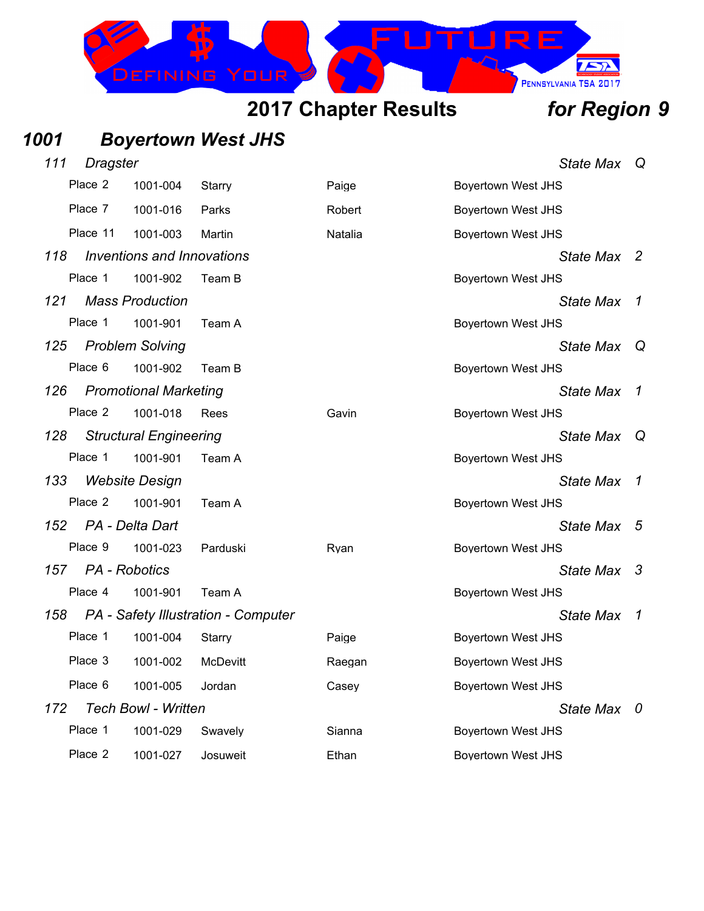# EFINING

## **2017 Chapter Results** *for Region 9*

 $752$ 

PENNSYLVANIA TSA 2017

**RF** 

## *1001 Boyertown West JHS*

| 111 | Dragster      |                                   |                                     |         |                           | <b>State Max</b> | Q                          |
|-----|---------------|-----------------------------------|-------------------------------------|---------|---------------------------|------------------|----------------------------|
|     | Place 2       | 1001-004                          | Starry                              | Paige   | <b>Boyertown West JHS</b> |                  |                            |
|     | Place 7       | 1001-016                          | Parks                               | Robert  | <b>Boyertown West JHS</b> |                  |                            |
|     | Place 11      | 1001-003                          | Martin                              | Natalia | <b>Boyertown West JHS</b> |                  |                            |
| 118 |               | <b>Inventions and Innovations</b> |                                     |         |                           | <b>State Max</b> | $\overline{\phantom{a}}^2$ |
|     | Place 1       | 1001-902                          | Team B                              |         | <b>Boyertown West JHS</b> |                  |                            |
| 121 |               | <b>Mass Production</b>            |                                     |         |                           | <b>State Max</b> | $\mathcal{I}$              |
|     | Place 1       | 1001-901                          | Team A                              |         | <b>Boyertown West JHS</b> |                  |                            |
| 125 |               | <b>Problem Solving</b>            |                                     |         |                           | <b>State Max</b> | Q                          |
|     | Place 6       | 1001-902                          | Team B                              |         | <b>Boyertown West JHS</b> |                  |                            |
| 126 |               | <b>Promotional Marketing</b>      |                                     |         |                           | <b>State Max</b> | $\mathcal{I}$              |
|     | Place 2       | 1001-018                          | Rees                                | Gavin   | <b>Boyertown West JHS</b> |                  |                            |
| 128 |               | <b>Structural Engineering</b>     |                                     |         |                           | <b>State Max</b> | Q                          |
|     | Place 1       | 1001-901                          | Team A                              |         | <b>Boyertown West JHS</b> |                  |                            |
| 133 |               | <b>Website Design</b>             |                                     |         |                           | <b>State Max</b> | -1                         |
|     | Place 2       | 1001-901                          | Team A                              |         | Boyertown West JHS        |                  |                            |
| 152 |               | PA - Delta Dart                   |                                     |         |                           | <b>State Max</b> | 5                          |
|     | Place 9       | 1001-023                          | Parduski                            | Ryan    | <b>Boyertown West JHS</b> |                  |                            |
| 157 | PA - Robotics |                                   |                                     |         |                           | <b>State Max</b> | -3                         |
|     | Place 4       | 1001-901                          | Team A                              |         | <b>Boyertown West JHS</b> |                  |                            |
| 158 |               |                                   | PA - Safety Illustration - Computer |         |                           | <b>State Max</b> | $\boldsymbol{\tau}$        |
|     | Place 1       | 1001-004                          | Starry                              | Paige   | <b>Boyertown West JHS</b> |                  |                            |
|     | Place 3       | 1001-002                          | <b>McDevitt</b>                     | Raegan  | <b>Boyertown West JHS</b> |                  |                            |
|     | Place 6       | 1001-005                          | Jordan                              | Casey   | <b>Boyertown West JHS</b> |                  |                            |
| 172 |               | <b>Tech Bowl - Written</b>        |                                     |         |                           | <b>State Max</b> | 0                          |
|     | Place 1       | 1001-029                          | Swavely                             | Sianna  | <b>Boyertown West JHS</b> |                  |                            |
|     | Place 2       | 1001-027                          | Josuweit                            | Ethan   | <b>Boyertown West JHS</b> |                  |                            |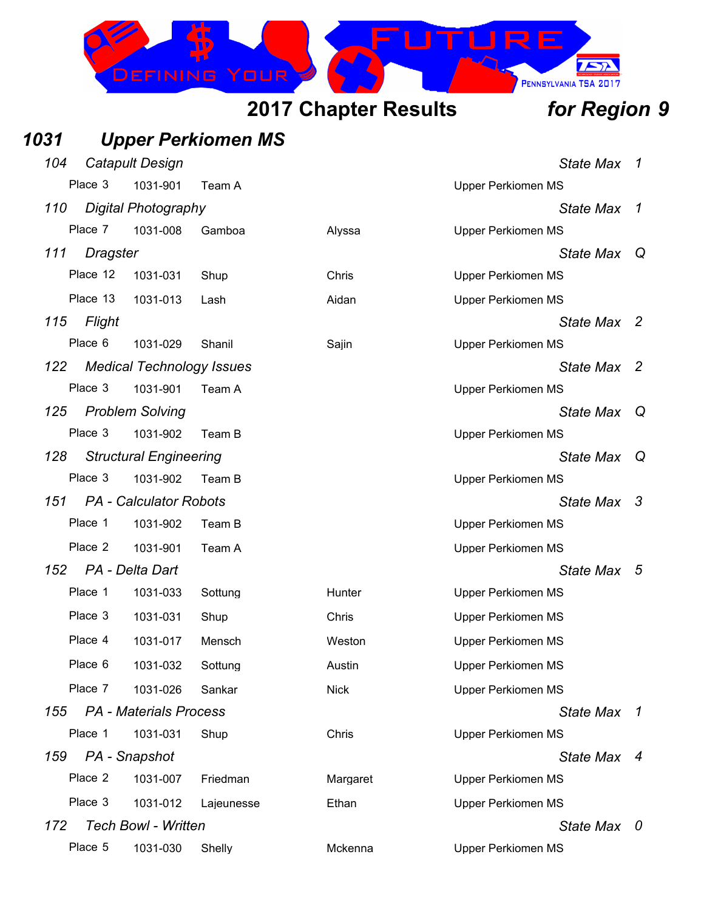

### *1031 Upper Perkiomen MS 104 Catapult Design State Max 1* Place 3 1031-901 Team A New York 1081 September 2016 NS *110 Digital Photography State Max 1* Place 7 1031-008 Gamboa Alyssa Upper Perkiomen MS *111 Dragster State Max Q* Place 12 1031-031 Shup Chris Chris Upper Perkiomen MS Place 13 1031-013 Lash Aidan Upper Perkiomen MS *115 Flight State Max 2* Place 6 1031-029 Shanil Sajin Saiin Upper Perkiomen MS *122 Medical Technology Issues State Max 2* Place 3 1031-901 Team A November 2012 10:00 Upper Perkiomen MS *125 Problem Solving State Max Q* Place 3 1031-902 Team B Upper Perkiomen MS *128 Structural Engineering State Max Q* Place 3 1031-902 Team B Upper Perkiomen MS *151 PA - Calculator Robots State Max 3* Place 1 1031-902 Team B Upper Perkiomen MS Place 2 1031-901 Team A New York 1081 Supper Perkiomen MS *152 PA - Delta Dart State Max 5* Place 1 1031-033 Sottung Hunter Hunter Upper Perkiomen MS Place 3 1031-031 Shup Chris Chris Upper Perkiomen MS Place 4 1031-017 Mensch Weston Upper Perkiomen MS Place 6 1031-032 Sottung Austin Australian Upper Perkiomen MS Place 7 1031-026 Sankar Nick Nick Upper Perkiomen MS *155 PA - Materials Process State Max 1* Place 1 1031-031 Shup Chris Chris Upper Perkiomen MS *159 PA - Snapshot State Max 4* Place 2 1031-007 Friedman Margaret Upper Perkiomen MS Place 3 1031-012 Lajeunesse Ethan Upper Perkiomen MS *172 Tech Bowl - Written State Max 0* Place 5 1031-030 Shelly Mckenna Upper Perkiomen MS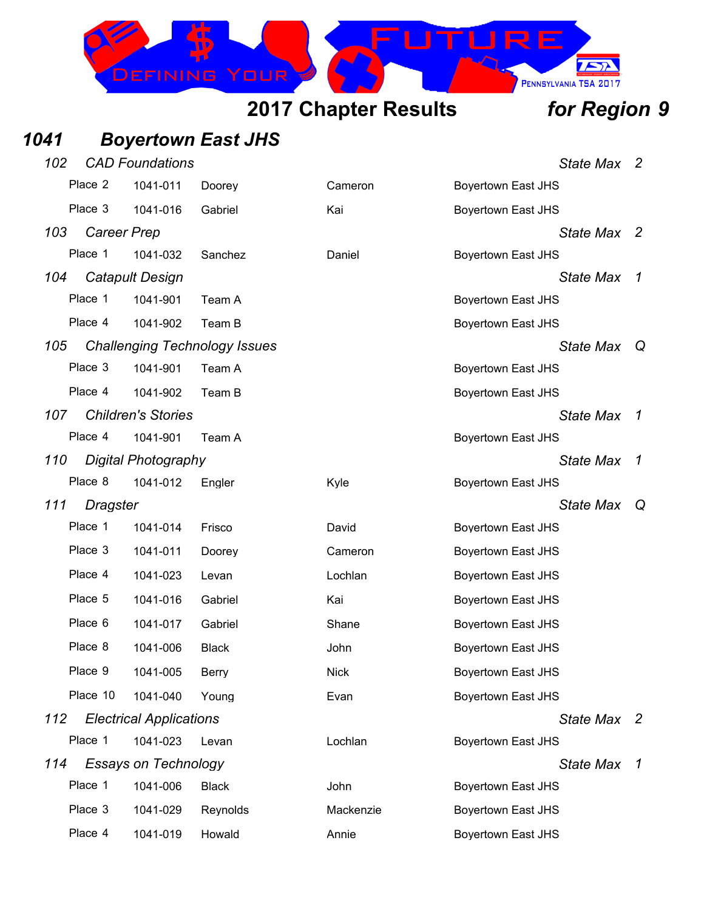### **RF** 757 EFINING PENNSYLVANIA TSA 2017

## **2017 Chapter Results** *for Region 9*

## *1041 Boyertown East JHS*

| 102 |                    | <b>CAD Foundations</b>         |                                      |             | State Max                 | $\overline{\phantom{a}}$ |
|-----|--------------------|--------------------------------|--------------------------------------|-------------|---------------------------|--------------------------|
|     | Place 2            | 1041-011                       | Doorey                               | Cameron     | <b>Boyertown East JHS</b> |                          |
|     | Place 3            | 1041-016                       | Gabriel                              | Kai         | <b>Boyertown East JHS</b> |                          |
| 103 | <b>Career Prep</b> |                                |                                      |             | State Max                 | -2                       |
|     | Place 1            | 1041-032                       | Sanchez                              | Daniel      | <b>Boyertown East JHS</b> |                          |
| 104 |                    | <b>Catapult Design</b>         |                                      |             | <b>State Max</b>          | 1                        |
|     | Place 1            | 1041-901                       | Team A                               |             | <b>Boyertown East JHS</b> |                          |
|     | Place 4            | 1041-902                       | Team B                               |             | <b>Boyertown East JHS</b> |                          |
| 105 |                    |                                | <b>Challenging Technology Issues</b> |             | <b>State Max</b>          | $\mathsf Q$              |
|     | Place 3            | 1041-901                       | Team A                               |             | <b>Boyertown East JHS</b> |                          |
|     | Place 4            | 1041-902                       | Team B                               |             | <b>Boyertown East JHS</b> |                          |
| 107 |                    | <b>Children's Stories</b>      |                                      |             | <b>State Max</b>          | 1                        |
|     | Place 4            | 1041-901                       | Team A                               |             | <b>Boyertown East JHS</b> |                          |
| 110 |                    | Digital Photography            |                                      |             | <b>State Max</b>          | $\mathcal I$             |
|     | Place 8            | 1041-012                       | Engler                               | Kyle        | <b>Boyertown East JHS</b> |                          |
| 111 | <b>Dragster</b>    |                                |                                      |             | <b>State Max</b>          | Q                        |
|     | Place 1            | 1041-014                       | Frisco                               | David       | <b>Boyertown East JHS</b> |                          |
|     | Place 3            | 1041-011                       | Doorey                               | Cameron     | <b>Boyertown East JHS</b> |                          |
|     | Place 4            | 1041-023                       | Levan                                | Lochlan     | <b>Boyertown East JHS</b> |                          |
|     | Place 5            | 1041-016                       | Gabriel                              | Kai         | <b>Boyertown East JHS</b> |                          |
|     | Place 6            | 1041-017                       | Gabriel                              | Shane       | <b>Boyertown East JHS</b> |                          |
|     | Place 8            | 1041-006                       | <b>Black</b>                         | John        | <b>Boyertown East JHS</b> |                          |
|     | Place 9            | 1041-005                       | Berry                                | <b>Nick</b> | <b>Boyertown East JHS</b> |                          |
|     | Place 10           | 1041-040                       | Young                                | Evan        | <b>Boyertown East JHS</b> |                          |
| 112 |                    | <b>Electrical Applications</b> |                                      |             | State Max 2               |                          |
|     | Place 1            | 1041-023                       | Levan                                | Lochlan     | <b>Boyertown East JHS</b> |                          |
| 114 |                    | <b>Essays on Technology</b>    |                                      |             | <b>State Max</b>          | $\boldsymbol{\tau}$      |
|     | Place 1            | 1041-006                       | <b>Black</b>                         | John        | <b>Boyertown East JHS</b> |                          |
|     | Place 3            | 1041-029                       | Reynolds                             | Mackenzie   | <b>Boyertown East JHS</b> |                          |
|     | Place 4            | 1041-019                       | Howald                               | Annie       | <b>Boyertown East JHS</b> |                          |
|     |                    |                                |                                      |             |                           |                          |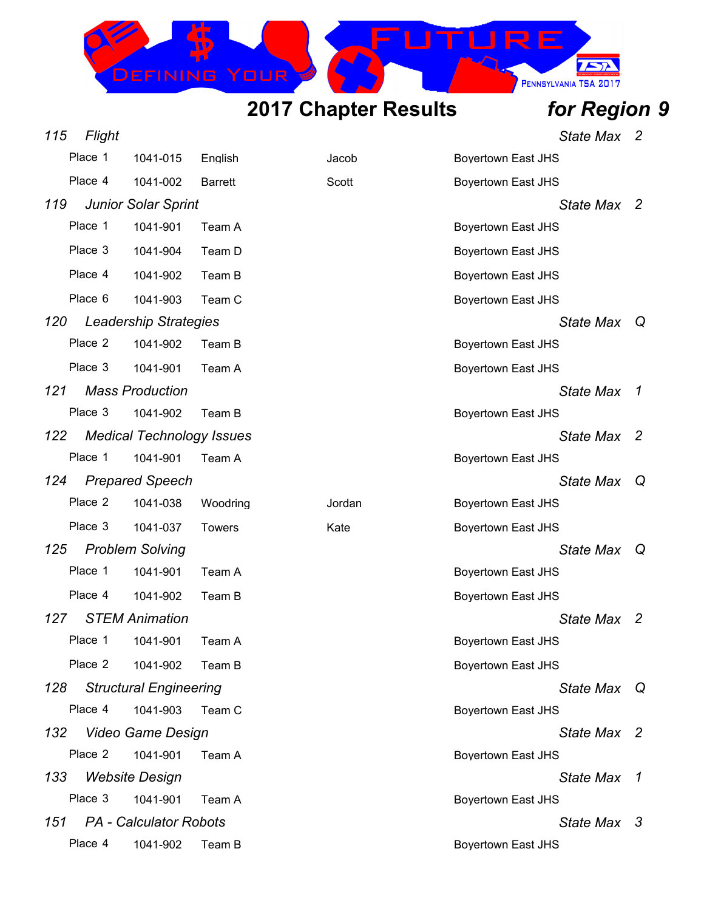EFINING

*115 Flight State Max 2*

 $\sum$ 

PENNSYLVANIA TSA 2017

IRF

|     | Place 1 | 1041-015                         | English        | Jacob  | <b>Boyertown East JHS</b> |                  |                |
|-----|---------|----------------------------------|----------------|--------|---------------------------|------------------|----------------|
|     | Place 4 | 1041-002                         | <b>Barrett</b> | Scott  | <b>Boyertown East JHS</b> |                  |                |
| 119 |         | <b>Junior Solar Sprint</b>       |                |        |                           | <b>State Max</b> | - 2            |
|     | Place 1 | 1041-901                         | Team A         |        | <b>Boyertown East JHS</b> |                  |                |
|     | Place 3 | 1041-904                         | Team D         |        | <b>Boyertown East JHS</b> |                  |                |
|     | Place 4 | 1041-902                         | Team B         |        | <b>Boyertown East JHS</b> |                  |                |
|     | Place 6 | 1041-903                         | Team C         |        | <b>Boyertown East JHS</b> |                  |                |
| 120 |         | Leadership Strategies            |                |        |                           | <b>State Max</b> | Q              |
|     | Place 2 | 1041-902                         | Team B         |        | <b>Boyertown East JHS</b> |                  |                |
|     | Place 3 | 1041-901                         | Team A         |        | <b>Boyertown East JHS</b> |                  |                |
| 121 |         | <b>Mass Production</b>           |                |        |                           | <b>State Max</b> | $\overline{1}$ |
|     | Place 3 | 1041-902                         | Team B         |        | <b>Boyertown East JHS</b> |                  |                |
| 122 |         | <b>Medical Technology Issues</b> |                |        |                           | <b>State Max</b> | - 2            |
|     | Place 1 | 1041-901                         | Team A         |        | <b>Boyertown East JHS</b> |                  |                |
| 124 |         | <b>Prepared Speech</b>           |                |        |                           | <b>State Max</b> | Q              |
|     | Place 2 | 1041-038                         | Woodring       | Jordan | <b>Boyertown East JHS</b> |                  |                |
|     | Place 3 | 1041-037                         | <b>Towers</b>  | Kate   | <b>Boyertown East JHS</b> |                  |                |
| 125 |         | <b>Problem Solving</b>           |                |        |                           | <b>State Max</b> | Q              |
|     | Place 1 | 1041-901                         | Team A         |        | <b>Boyertown East JHS</b> |                  |                |
|     | Place 4 | 1041-902                         | Team B         |        | <b>Boyertown East JHS</b> |                  |                |
| 127 |         | <b>STEM Animation</b>            |                |        |                           | <b>State Max</b> | - 2            |
|     | Place 1 | 1041-901                         | Team A         |        | <b>Boyertown East JHS</b> |                  |                |
|     | Place 2 | 1041-902                         | Team B         |        | Boyertown East JHS        |                  |                |
| 128 |         | <b>Structural Engineering</b>    |                |        |                           | <b>State Max</b> | Q              |
|     | Place 4 | 1041-903                         | Team C         |        | <b>Boyertown East JHS</b> |                  |                |
|     |         | 132 Video Game Design            |                |        |                           | State Max 2      |                |
|     | Place 2 | 1041-901                         | Team A         |        | <b>Boyertown East JHS</b> |                  |                |
| 133 |         | <b>Website Design</b>            |                |        |                           | State Max 1      |                |
|     | Place 3 | 1041-901                         | Team A         |        | <b>Boyertown East JHS</b> |                  |                |
|     |         | 151 PA - Calculator Robots       |                |        |                           | State Max 3      |                |
|     | Place 4 | 1041-902                         | Team B         |        | <b>Boyertown East JHS</b> |                  |                |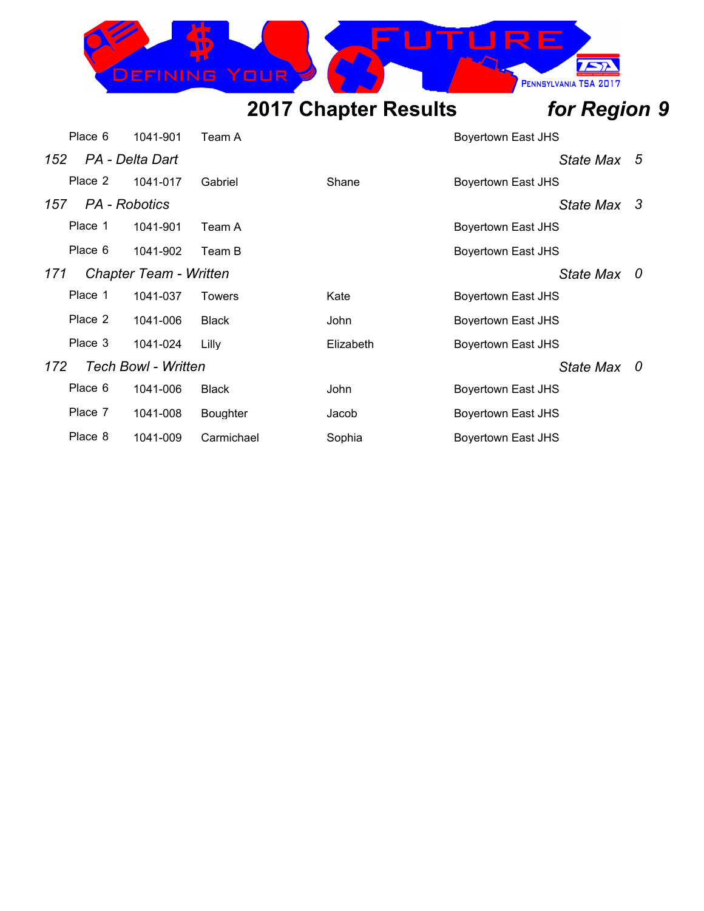DEFINING

 $\sqrt{2}$ 

PENNSYLVANIA TSA 2017

IRE

|     | Place 6       | 1041-901                   | Team A          |             | Boyertown East JHS        |     |
|-----|---------------|----------------------------|-----------------|-------------|---------------------------|-----|
| 152 |               | PA - Delta Dart            |                 |             | State Max 5               |     |
|     | Place 2       | 1041-017                   | Gabriel         | Shane       | <b>Boyertown East JHS</b> |     |
| 157 | PA - Robotics |                            |                 |             | State Max 3               |     |
|     | Place 1       | 1041-901                   | Team A          |             | Boyertown East JHS        |     |
|     | Place 6       | 1041-902                   | Team B          |             | Boyertown East JHS        |     |
| 171 |               | Chapter Team - Written     |                 |             | State Max                 | - 0 |
|     | Place 1       | 1041-037                   | <b>Towers</b>   | Kate        | Boyertown East JHS        |     |
|     | Place 2       | 1041-006                   | <b>Black</b>    | John        | Boyertown East JHS        |     |
|     | Place 3       | 1041-024                   | Lilly           | Elizabeth   | Boyertown East JHS        |     |
| 172 |               | <b>Tech Bowl - Written</b> |                 |             | State Max                 | - 0 |
|     | Place 6       | 1041-006                   | <b>Black</b>    | <b>John</b> | Boyertown East JHS        |     |
|     | Place 7       | 1041-008                   | <b>Boughter</b> | Jacob       | Boyertown East JHS        |     |
|     | Place 8       | 1041-009                   | Carmichael      | Sophia      | <b>Boyertown East JHS</b> |     |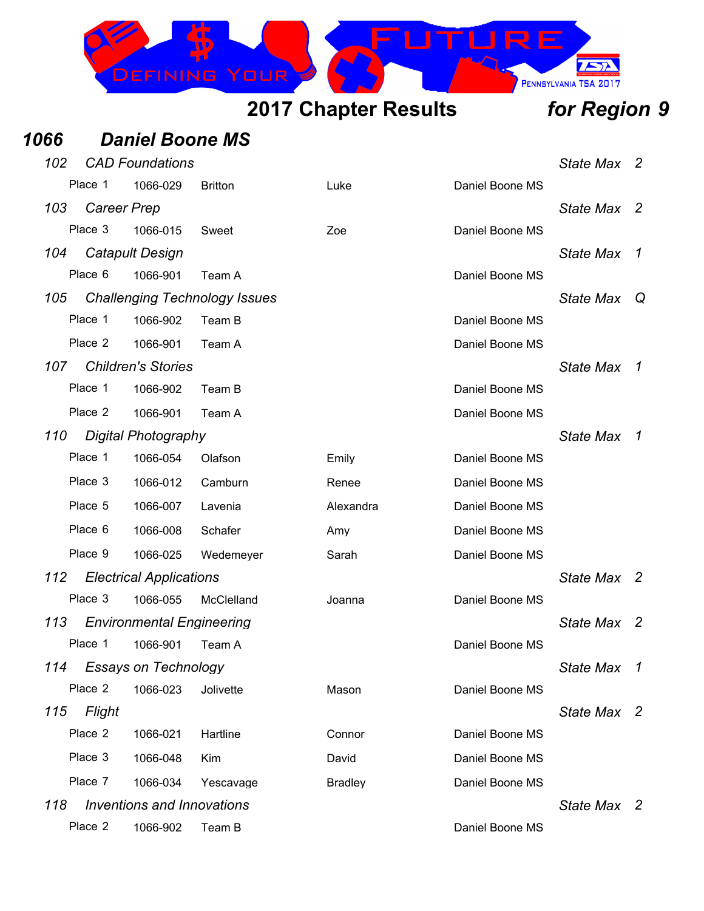

### *1066 Daniel Boone MS*

| 102 |                    | <b>CAD Foundations</b>            |                                      |                |                 | <b>State Max</b> | 2                   |
|-----|--------------------|-----------------------------------|--------------------------------------|----------------|-----------------|------------------|---------------------|
|     | Place 1            | 1066-029                          | <b>Britton</b>                       | Luke           | Daniel Boone MS |                  |                     |
| 103 | <b>Career Prep</b> |                                   |                                      |                |                 | <b>State Max</b> | -2                  |
|     | Place 3            | 1066-015                          | Sweet                                | Zoe            | Daniel Boone MS |                  |                     |
| 104 |                    | <b>Catapult Design</b>            |                                      |                |                 | <b>State Max</b> | $\boldsymbol{\tau}$ |
|     | Place 6            | 1066-901                          | Team A                               |                | Daniel Boone MS |                  |                     |
| 105 |                    |                                   | <b>Challenging Technology Issues</b> |                |                 | <b>State Max</b> | Q                   |
|     | Place 1            | 1066-902                          | Team B                               |                | Daniel Boone MS |                  |                     |
|     | Place 2            | 1066-901                          | Team A                               |                | Daniel Boone MS |                  |                     |
| 107 |                    | <b>Children's Stories</b>         |                                      |                |                 | <b>State Max</b> | -7                  |
|     | Place 1            | 1066-902                          | Team B                               |                | Daniel Boone MS |                  |                     |
|     | Place 2            | 1066-901                          | Team A                               |                | Daniel Boone MS |                  |                     |
| 110 |                    | Digital Photography               |                                      |                |                 | <b>State Max</b> | -7                  |
|     | Place 1            | 1066-054                          | Olafson                              | Emily          | Daniel Boone MS |                  |                     |
|     | Place 3            | 1066-012                          | Camburn                              | Renee          | Daniel Boone MS |                  |                     |
|     | Place 5            | 1066-007                          | Lavenia                              | Alexandra      | Daniel Boone MS |                  |                     |
|     | Place 6            | 1066-008                          | Schafer                              | Amy            | Daniel Boone MS |                  |                     |
|     | Place 9            | 1066-025                          | Wedemeyer                            | Sarah          | Daniel Boone MS |                  |                     |
| 112 |                    | <b>Electrical Applications</b>    |                                      |                |                 | <b>State Max</b> | $\mathbf{2}$        |
|     | Place 3            | 1066-055                          | McClelland                           | Joanna         | Daniel Boone MS |                  |                     |
| 113 |                    | <b>Environmental Engineering</b>  |                                      |                |                 | <b>State Max</b> | - 2                 |
|     | Place 1            | 1066-901                          | Team A                               |                | Daniel Boone MS |                  |                     |
| 114 |                    | Essays on Technology              |                                      |                |                 | State Max        | 1                   |
|     | Place 2            | 1066-023                          | Jolivette                            | Mason          | Daniel Boone MS |                  |                     |
| 115 | Flight             |                                   |                                      |                |                 | State Max 2      |                     |
|     | Place 2            | 1066-021                          | Hartline                             | Connor         | Daniel Boone MS |                  |                     |
|     | Place 3            | 1066-048                          | Kim                                  | David          | Daniel Boone MS |                  |                     |
|     | Place 7            | 1066-034                          | Yescavage                            | <b>Bradley</b> | Daniel Boone MS |                  |                     |
| 118 |                    | <b>Inventions and Innovations</b> |                                      |                |                 | State Max 2      |                     |
|     | Place 2            | 1066-902                          | Team B                               |                | Daniel Boone MS |                  |                     |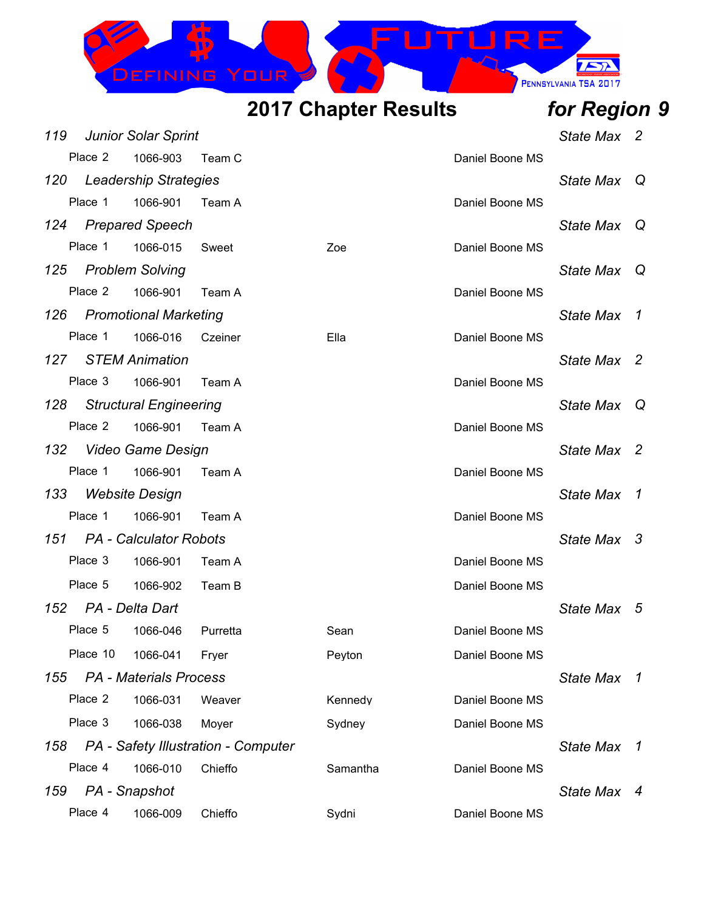

| 119 |                     | <b>Junior Solar Sprint</b>    |                                     |          |                 | State Max 2      |     |
|-----|---------------------|-------------------------------|-------------------------------------|----------|-----------------|------------------|-----|
|     | Place 2             | 1066-903                      | Team C                              |          | Daniel Boone MS |                  |     |
|     |                     | 120 Leadership Strategies     |                                     |          |                 | <b>State Max</b> | - Q |
|     | Place 1             | 1066-901                      | Team A                              |          | Daniel Boone MS |                  |     |
|     |                     | 124 Prepared Speech           |                                     |          |                 | <b>State Max</b> | Q   |
|     | Place 1             | 1066-015                      | Sweet                               | Zoe      | Daniel Boone MS |                  |     |
| 125 |                     | <b>Problem Solving</b>        |                                     |          |                 | State Max Q      |     |
|     | Place 2             | 1066-901                      | Team A                              |          | Daniel Boone MS |                  |     |
| 126 |                     | Promotional Marketing         |                                     |          |                 | State Max 1      |     |
|     | Place 1             | 1066-016                      | Czeiner                             | Ella     | Daniel Boone MS |                  |     |
|     |                     | 127 STEM Animation            |                                     |          |                 | State Max 2      |     |
|     | Place 3             | 1066-901                      | Team A                              |          | Daniel Boone MS |                  |     |
|     |                     | 128 Structural Engineering    |                                     |          |                 | State Max Q      |     |
|     | Place 2             | 1066-901                      | Team A                              |          | Daniel Boone MS |                  |     |
|     |                     | 132 Video Game Design         |                                     |          |                 | State Max 2      |     |
|     | Place 1             | 1066-901                      | Team A                              |          | Daniel Boone MS |                  |     |
| 133 |                     | <b>Website Design</b>         |                                     |          |                 | State Max 1      |     |
|     | Place 1             | 1066-901                      | Team A                              |          | Daniel Boone MS |                  |     |
|     |                     | 151 PA - Calculator Robots    |                                     |          |                 | State Max 3      |     |
|     | Place 3             | 1066-901                      | Team A                              |          | Daniel Boone MS |                  |     |
|     | Place 5             | 1066-902                      | Team B                              |          | Daniel Boone MS |                  |     |
|     | 152 PA - Delta Dart |                               |                                     |          |                 | State Max 5      |     |
|     | Place 5             | 1066-046                      | Purretta                            | Sean     | Daniel Boone MS |                  |     |
|     | Place 10            | 1066-041                      | Fryer                               | Peyton   | Daniel Boone MS |                  |     |
| 155 |                     | <b>PA</b> - Materials Process |                                     |          |                 | State Max 1      |     |
|     | Place 2             | 1066-031                      | Weaver                              | Kennedy  | Daniel Boone MS |                  |     |
|     | Place 3             | 1066-038                      | Moyer                               | Sydney   | Daniel Boone MS |                  |     |
| 158 |                     |                               | PA - Safety Illustration - Computer |          |                 | State Max 1      |     |
|     | Place 4             | 1066-010                      | Chieffo                             | Samantha | Daniel Boone MS |                  |     |
| 159 |                     | PA - Snapshot                 |                                     |          |                 | State Max 4      |     |
|     | Place 4             | 1066-009                      | Chieffo                             | Sydni    | Daniel Boone MS |                  |     |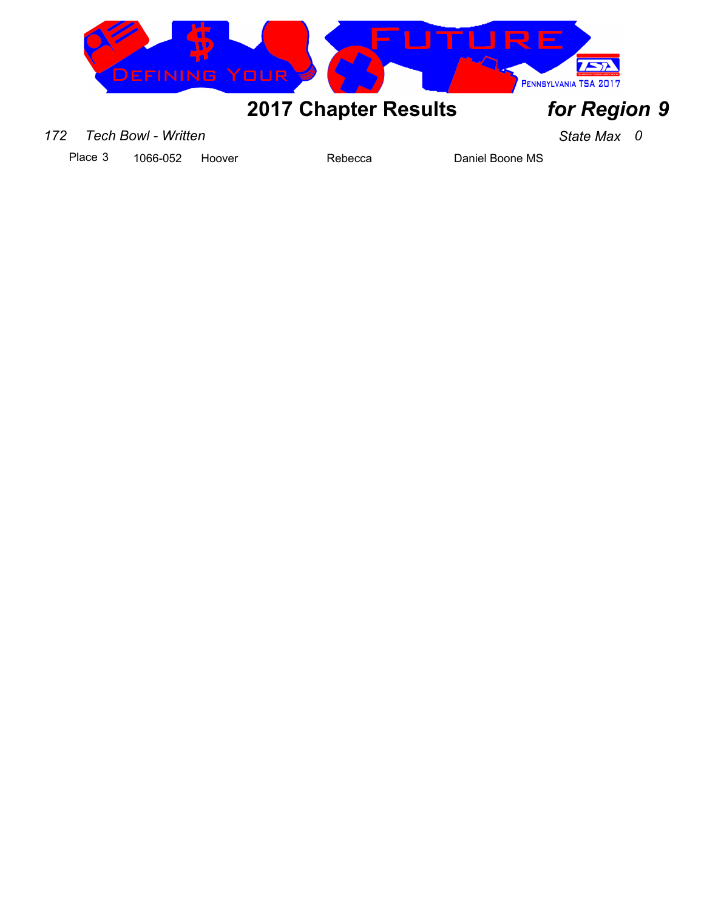

### *172 Tech Bowl - Written State Max 0*

Place 3 1066-052 Hoover Rebecca Daniel Boone MS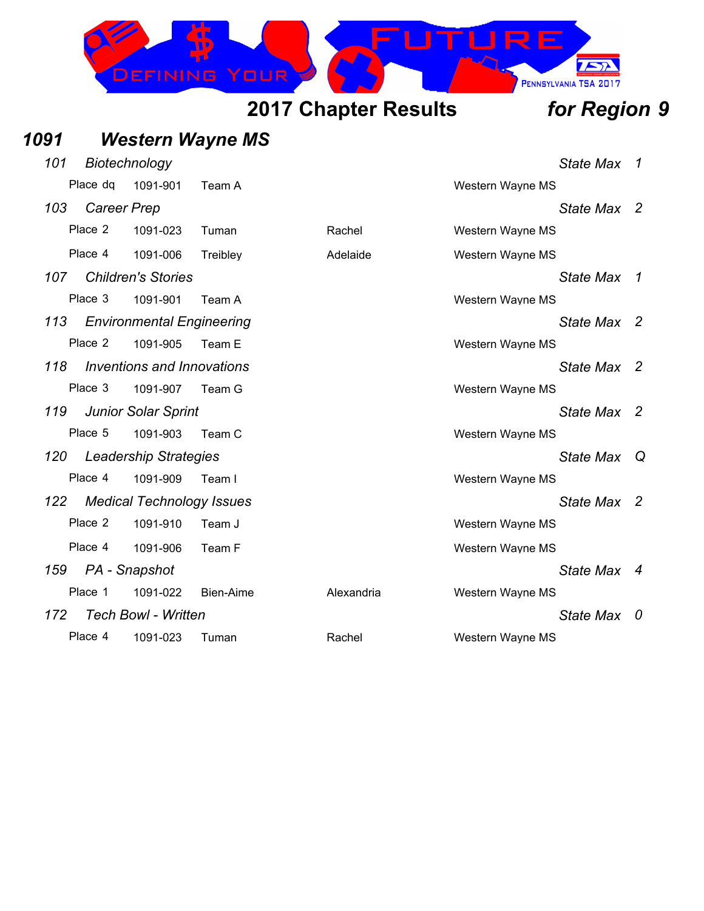

## *1091 Western Wayne MS*

| 101   | Biotechnology      |                                  |           |            |                  | State Max        | -7  |
|-------|--------------------|----------------------------------|-----------|------------|------------------|------------------|-----|
|       | Place dg           | 1091-901                         | Team A    |            | Western Wayne MS |                  |     |
| 103   | <b>Career Prep</b> |                                  |           |            |                  | State Max 2      |     |
|       | Place 2            | 1091-023                         | Tuman     | Rachel     | Western Wayne MS |                  |     |
|       | Place 4            | 1091-006                         | Treibley  | Adelaide   | Western Wayne MS |                  |     |
| 107 - |                    | <b>Children's Stories</b>        |           |            |                  | State Max 1      |     |
|       | Place 3            | 1091-901                         | Team A    |            | Western Wayne MS |                  |     |
| 113   |                    | <b>Environmental Engineering</b> |           |            |                  | State Max 2      |     |
|       | Place 2            | 1091-905                         | Team E    |            | Western Wayne MS |                  |     |
| 118   |                    | Inventions and Innovations       |           |            |                  | State Max 2      |     |
|       | Place 3            | 1091-907                         | Team G    |            | Western Wayne MS |                  |     |
| 119   |                    | <b>Junior Solar Sprint</b>       |           |            |                  | State Max 2      |     |
|       | Place 5            | 1091-903                         | Team C    |            | Western Wayne MS |                  |     |
|       |                    | 120 Leadership Strategies        |           |            |                  | <b>State Max</b> | Q   |
|       | Place 4            | 1091-909                         | Team I    |            | Western Wayne MS |                  |     |
| 122   |                    | <b>Medical Technology Issues</b> |           |            |                  | State Max 2      |     |
|       | Place 2            | 1091-910                         | Team J    |            | Western Wayne MS |                  |     |
|       | Place 4            | 1091-906                         | Team F    |            | Western Wayne MS |                  |     |
|       | 159 PA - Snapshot  |                                  |           |            |                  | State Max 4      |     |
|       | Place 1            | 1091-022                         | Bien-Aime | Alexandria | Western Wayne MS |                  |     |
| 172   |                    | <b>Tech Bowl - Written</b>       |           |            |                  | State Max        | - 0 |
|       | Place 4            | 1091-023                         | Tuman     | Rachel     | Western Wayne MS |                  |     |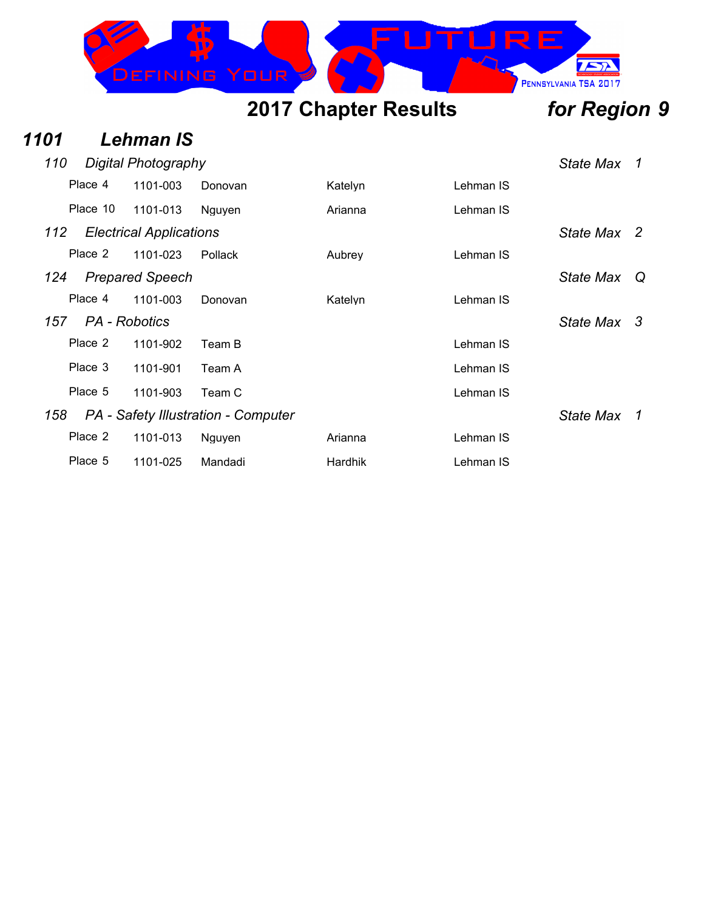

### *1101 Lehman IS*

| 110 | Digital Photography |                                |                                     |                |           |                  | 1  |
|-----|---------------------|--------------------------------|-------------------------------------|----------------|-----------|------------------|----|
|     | Place 4             | 1101-003                       | Donovan                             | Katelyn        | Lehman IS |                  |    |
|     | Place 10            | 1101-013                       | Nguyen                              | Arianna        | Lehman IS |                  |    |
| 112 |                     | <b>Electrical Applications</b> |                                     |                |           | State Max 2      |    |
|     | Place 2             | 1101-023                       | Pollack                             | Aubrey         | Lehman IS |                  |    |
| 124 |                     | <b>Prepared Speech</b>         |                                     |                |           | <b>State Max</b> | Q  |
|     | Place 4             | 1101-003                       | Donovan                             | Katelyn        | Lehman IS |                  |    |
| 157 |                     | PA - Robotics                  |                                     |                |           | State Max 3      |    |
|     | Place 2             | 1101-902                       | Team B                              |                | Lehman IS |                  |    |
|     | Place 3             | 1101-901                       | Team A                              |                | Lehman IS |                  |    |
|     | Place 5             | 1101-903                       | Team C                              |                | Lehman IS |                  |    |
| 158 |                     |                                | PA - Safety Illustration - Computer |                |           | <b>State Max</b> | -1 |
|     | Place 2             | 1101-013                       | Nguyen                              | Arianna        | Lehman IS |                  |    |
|     | Place 5             | 1101-025                       | Mandadi                             | <b>Hardhik</b> | Lehman IS |                  |    |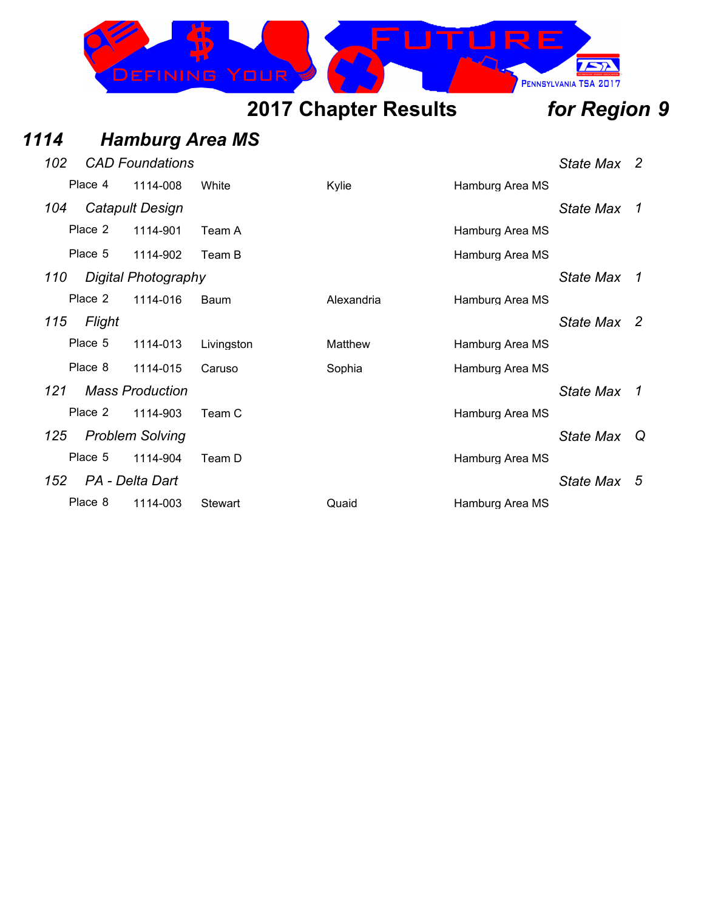

## *1114 Hamburg Area MS*

| 102 |         | <b>CAD Foundations</b> |                |            |                 | State Max 2      |                |
|-----|---------|------------------------|----------------|------------|-----------------|------------------|----------------|
|     | Place 4 | 1114-008               | White          | Kylie      | Hamburg Area MS |                  |                |
| 104 |         | Catapult Design        |                |            |                 | <b>State Max</b> | $\overline{1}$ |
|     | Place 2 | 1114-901               | Team A         |            | Hamburg Area MS |                  |                |
|     | Place 5 | 1114-902               | Team B         |            | Hamburg Area MS |                  |                |
| 110 |         | Digital Photography    |                |            |                 | State Max        | $\overline{1}$ |
|     | Place 2 | 1114-016               | Baum           | Alexandria | Hamburg Area MS |                  |                |
| 115 | Flight  |                        |                |            |                 | State Max 2      |                |
|     | Place 5 | 1114-013               | Livingston     | Matthew    | Hamburg Area MS |                  |                |
|     | Place 8 | 1114-015               | Caruso         | Sophia     | Hamburg Area MS |                  |                |
| 121 |         | <b>Mass Production</b> |                |            |                 | <b>State Max</b> | $\overline{1}$ |
|     | Place 2 | 1114-903               | Team C         |            | Hamburg Area MS |                  |                |
| 125 |         | <b>Problem Solving</b> |                |            |                 | State Max        | - Q            |
|     | Place 5 | 1114-904               | Team D         |            | Hamburg Area MS |                  |                |
| 152 |         | PA - Delta Dart        |                |            |                 | State Max        | - 5            |
|     | Place 8 | 1114-003               | <b>Stewart</b> | Quaid      | Hamburg Area MS |                  |                |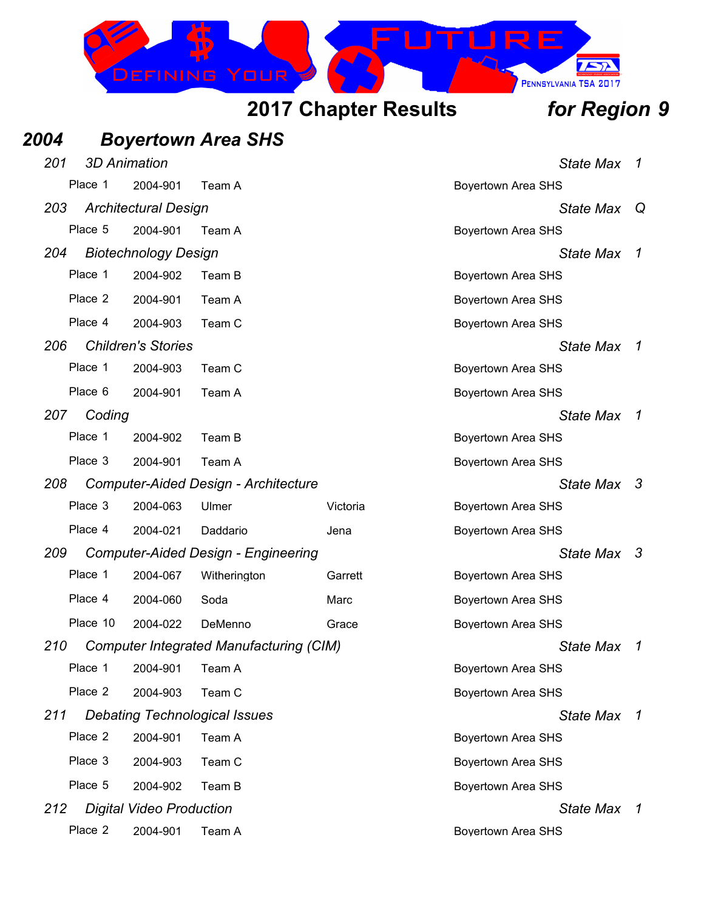

| 2004 |          |                                 | <b>Boyertown Area SHS</b>                      |          |                           |                     |
|------|----------|---------------------------------|------------------------------------------------|----------|---------------------------|---------------------|
| 201  |          | <b>3D Animation</b>             |                                                |          | <b>State Max</b>          | 1                   |
|      | Place 1  | 2004-901                        | Team A                                         |          | Boyertown Area SHS        |                     |
| 203  |          | <b>Architectural Design</b>     |                                                |          | <b>State Max</b>          | Q                   |
|      | Place 5  | 2004-901                        | Team A                                         |          | Boyertown Area SHS        |                     |
| 204  |          | <b>Biotechnology Design</b>     |                                                |          | <b>State Max</b>          | 1                   |
|      | Place 1  | 2004-902                        | Team B                                         |          | Boyertown Area SHS        |                     |
|      | Place 2  | 2004-901                        | Team A                                         |          | Boyertown Area SHS        |                     |
|      | Place 4  | 2004-903                        | Team C                                         |          | Boyertown Area SHS        |                     |
| 206  |          | <b>Children's Stories</b>       |                                                |          | <b>State Max</b>          | 1                   |
|      | Place 1  | 2004-903                        | Team C                                         |          | Boyertown Area SHS        |                     |
|      | Place 6  | 2004-901                        | Team A                                         |          | Boyertown Area SHS        |                     |
| 207  | Coding   |                                 |                                                |          | <b>State Max</b>          | 7                   |
|      | Place 1  | 2004-902                        | Team B                                         |          | Boyertown Area SHS        |                     |
|      | Place 3  | 2004-901                        | Team A                                         |          | <b>Boyertown Area SHS</b> |                     |
| 208  |          |                                 | Computer-Aided Design - Architecture           |          | State Max                 | -3                  |
|      | Place 3  | 2004-063                        | Ulmer                                          | Victoria | Boyertown Area SHS        |                     |
|      | Place 4  | 2004-021                        | Daddario                                       | Jena     | Boyertown Area SHS        |                     |
| 209  |          |                                 | <b>Computer-Aided Design - Engineering</b>     |          | State Max                 | -3                  |
|      | Place 1  | 2004-067                        | Witherington                                   | Garrett  | Boyertown Area SHS        |                     |
|      | Place 4  | 2004-060                        | Soda                                           | Marc     | Boyertown Area SHS        |                     |
|      | Place 10 | 2004-022                        | DeMenno                                        | Grace    | Boyertown Area SHS        |                     |
| 210  |          |                                 | <b>Computer Integrated Manufacturing (CIM)</b> |          | State Max                 | $\boldsymbol{\tau}$ |
|      | Place 1  | 2004-901                        | Team A                                         |          | Boyertown Area SHS        |                     |
|      | Place 2  | 2004-903                        | Team C                                         |          | <b>Boyertown Area SHS</b> |                     |
| 211  |          |                                 | <b>Debating Technological Issues</b>           |          | <b>State Max</b>          | 7                   |
|      | Place 2  | 2004-901                        | Team A                                         |          | Boyertown Area SHS        |                     |
|      | Place 3  | 2004-903                        | Team C                                         |          | <b>Boyertown Area SHS</b> |                     |
|      | Place 5  | 2004-902                        | Team B                                         |          | <b>Boyertown Area SHS</b> |                     |
| 212  |          | <b>Digital Video Production</b> |                                                |          | <b>State Max</b>          | $\overline{1}$      |
|      | Place 2  | 2004-901                        | Team A                                         |          | <b>Boyertown Area SHS</b> |                     |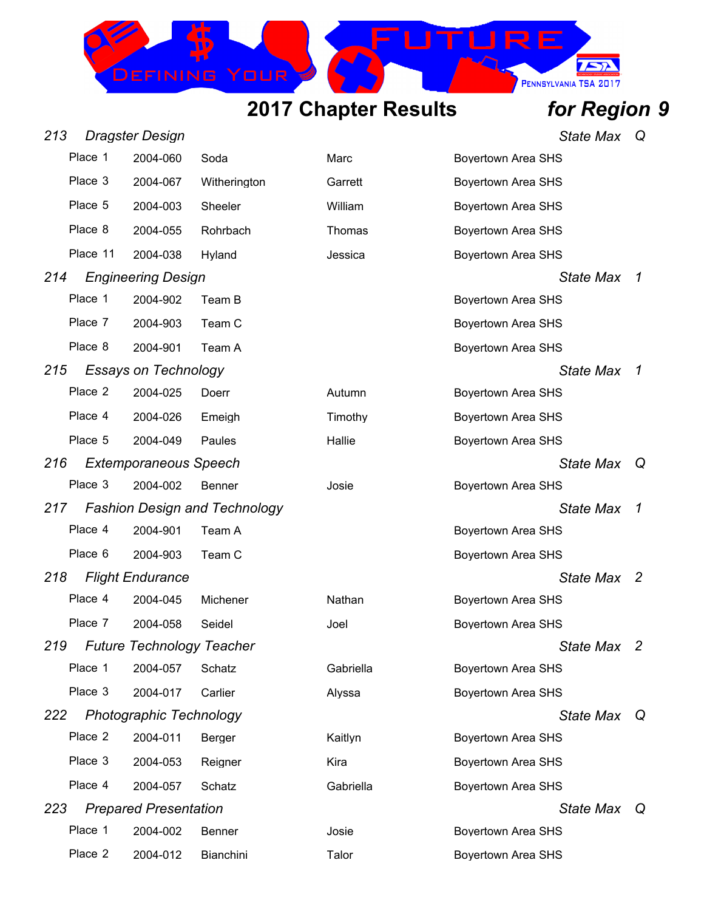

| 213 |          | <b>Dragster Design</b>           |                                      |           |                           | <b>State Max</b> | Q  |
|-----|----------|----------------------------------|--------------------------------------|-----------|---------------------------|------------------|----|
|     | Place 1  | 2004-060                         | Soda                                 | Marc      | <b>Boyertown Area SHS</b> |                  |    |
|     | Place 3  | 2004-067                         | Witherington                         | Garrett   | Boyertown Area SHS        |                  |    |
|     | Place 5  | 2004-003                         | Sheeler                              | William   | Boyertown Area SHS        |                  |    |
|     | Place 8  | 2004-055                         | Rohrbach                             | Thomas    | Boyertown Area SHS        |                  |    |
|     | Place 11 | 2004-038                         | Hyland                               | Jessica   | <b>Boyertown Area SHS</b> |                  |    |
| 214 |          | <b>Engineering Design</b>        |                                      |           |                           | <b>State Max</b> | 1  |
|     | Place 1  | 2004-902                         | Team B                               |           | <b>Boyertown Area SHS</b> |                  |    |
|     | Place 7  | 2004-903                         | Team C                               |           | Boyertown Area SHS        |                  |    |
|     | Place 8  | 2004-901                         | Team A                               |           | <b>Boyertown Area SHS</b> |                  |    |
| 215 |          | <b>Essays on Technology</b>      |                                      |           |                           | <b>State Max</b> | 1  |
|     | Place 2  | 2004-025                         | Doerr                                | Autumn    | <b>Boyertown Area SHS</b> |                  |    |
|     | Place 4  | 2004-026                         | Emeigh                               | Timothy   | Boyertown Area SHS        |                  |    |
|     | Place 5  | 2004-049                         | Paules                               | Hallie    | <b>Boyertown Area SHS</b> |                  |    |
| 216 |          | <b>Extemporaneous Speech</b>     |                                      |           |                           | <b>State Max</b> | Q  |
|     | Place 3  | 2004-002                         | Benner                               | Josie     | <b>Boyertown Area SHS</b> |                  |    |
| 217 |          |                                  | <b>Fashion Design and Technology</b> |           |                           | <b>State Max</b> | 1  |
|     | Place 4  | 2004-901                         | Team A                               |           | <b>Boyertown Area SHS</b> |                  |    |
|     | Place 6  | 2004-903                         | Team C                               |           | <b>Boyertown Area SHS</b> |                  |    |
| 218 |          | <b>Flight Endurance</b>          |                                      |           |                           | State Max        | -2 |
|     | Place 4  | 2004-045                         | Michener                             | Nathan    | <b>Boyertown Area SHS</b> |                  |    |
|     | Place 7  | 2004-058                         | Seidel                               | Joel      | Boyertown Area SHS        |                  |    |
| 219 |          | <b>Future Technology Teacher</b> |                                      |           |                           | State Max 2      |    |
|     | Place 1  | 2004-057                         | Schatz                               | Gabriella | <b>Boyertown Area SHS</b> |                  |    |
|     | Place 3  | 2004-017                         | Carlier                              | Alyssa    | <b>Boyertown Area SHS</b> |                  |    |
| 222 |          | Photographic Technology          |                                      |           |                           | State Max        | Q  |
|     | Place 2  | 2004-011                         | Berger                               | Kaitlyn   | <b>Boyertown Area SHS</b> |                  |    |
|     | Place 3  | 2004-053                         | Reigner                              | Kira      | <b>Boyertown Area SHS</b> |                  |    |
|     | Place 4  | 2004-057                         | Schatz                               | Gabriella | <b>Boyertown Area SHS</b> |                  |    |
| 223 |          | <b>Prepared Presentation</b>     |                                      |           |                           | State Max Q      |    |
|     | Place 1  | 2004-002                         | Benner                               | Josie     | <b>Boyertown Area SHS</b> |                  |    |
|     | Place 2  | 2004-012                         | Bianchini                            | Talor     | <b>Boyertown Area SHS</b> |                  |    |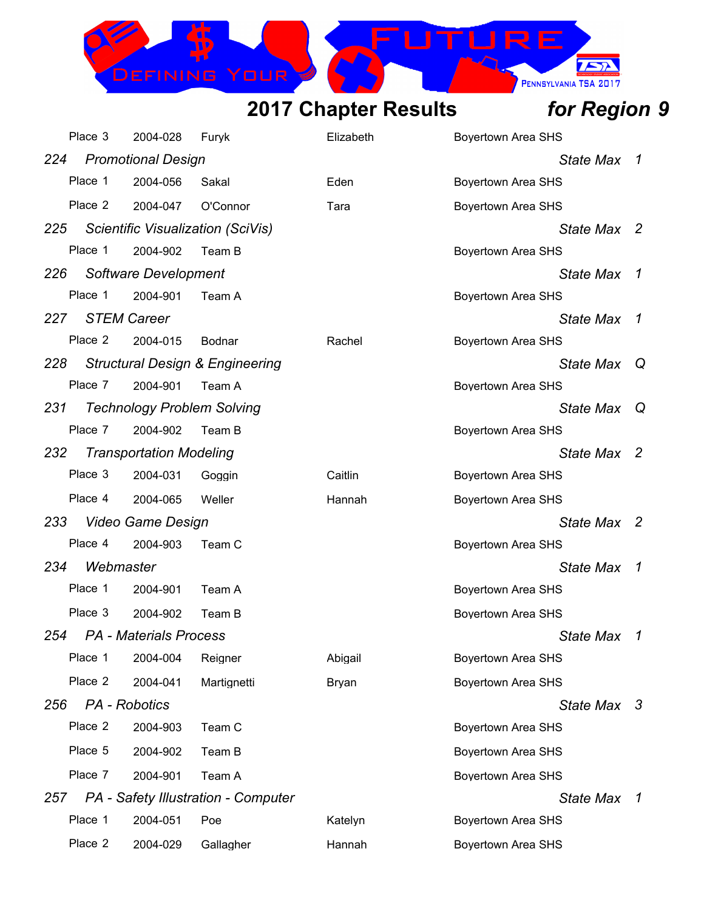DEFINING

 $\sqrt{2}$ 

PENNSYLVANIA TSA 2017

IRE

|     | Place 3            | 2004-028                          | Furyk                                      | Elizabeth | <b>Boyertown Area SHS</b> |                |
|-----|--------------------|-----------------------------------|--------------------------------------------|-----------|---------------------------|----------------|
| 224 |                    | <b>Promotional Design</b>         |                                            |           | <b>State Max</b>          | -7             |
|     | Place 1            | 2004-056                          | Sakal                                      | Eden      | <b>Boyertown Area SHS</b> |                |
|     | Place 2            | 2004-047                          | O'Connor                                   | Tara      | <b>Boyertown Area SHS</b> |                |
| 225 |                    |                                   | Scientific Visualization (SciVis)          |           | State Max 2               |                |
|     | Place 1            | 2004-902                          | Team B                                     |           | Boyertown Area SHS        |                |
| 226 |                    | Software Development              |                                            |           | <b>State Max</b>          | $\overline{1}$ |
|     | Place 1            | 2004-901                          | Team A                                     |           | Boyertown Area SHS        |                |
| 227 | <b>STEM Career</b> |                                   |                                            |           | State Max                 | 1              |
|     | Place 2            | 2004-015                          | Bodnar                                     | Rachel    | <b>Boyertown Area SHS</b> |                |
| 228 |                    |                                   | <b>Structural Design &amp; Engineering</b> |           | <b>State Max</b>          | Q              |
|     | Place 7            | 2004-901                          | Team A                                     |           | <b>Boyertown Area SHS</b> |                |
| 231 |                    | <b>Technology Problem Solving</b> |                                            |           | <b>State Max</b>          | $\omega$       |
|     | Place 7            | 2004-902                          | Team B                                     |           | Boyertown Area SHS        |                |
| 232 |                    | <b>Transportation Modeling</b>    |                                            |           | State Max                 | $\overline{2}$ |
|     | Place 3            | 2004-031                          | Goggin                                     | Caitlin   | <b>Boyertown Area SHS</b> |                |
|     | Place 4            | 2004-065                          | Weller                                     | Hannah    | <b>Boyertown Area SHS</b> |                |
| 233 |                    | Video Game Design                 |                                            |           | State Max 2               |                |
|     | Place 4            | 2004-903                          | Team C                                     |           | Boyertown Area SHS        |                |
| 234 | Webmaster          |                                   |                                            |           | <b>State Max</b>          | 1              |
|     | Place 1            | 2004-901                          | Team A                                     |           | Boyertown Area SHS        |                |
|     | Place 3            | 2004-902                          | Team B                                     |           | Boyertown Area SHS        |                |
| 254 |                    | <b>PA</b> - Materials Process     |                                            |           | <b>State Max</b>          | 1              |
|     | Place 1            | 2004-004                          | Reigner                                    | Abigail   | Boyertown Area SHS        |                |
|     | Place 2            | 2004-041                          | Martignetti                                | Bryan     | Boyertown Area SHS        |                |
| 256 | PA - Robotics      |                                   |                                            |           | State Max 3               |                |
|     | Place 2            | 2004-903                          | Team C                                     |           | <b>Boyertown Area SHS</b> |                |
|     | Place 5            | 2004-902                          | Team B                                     |           | Boyertown Area SHS        |                |
|     | Place 7            | 2004-901                          | Team A                                     |           | Boyertown Area SHS        |                |
| 257 |                    |                                   | PA - Safety Illustration - Computer        |           | State Max                 | $\overline{1}$ |
|     | Place 1            | 2004-051                          | Poe                                        | Katelyn   | <b>Boyertown Area SHS</b> |                |
|     | Place 2            | 2004-029                          | Gallagher                                  | Hannah    | <b>Boyertown Area SHS</b> |                |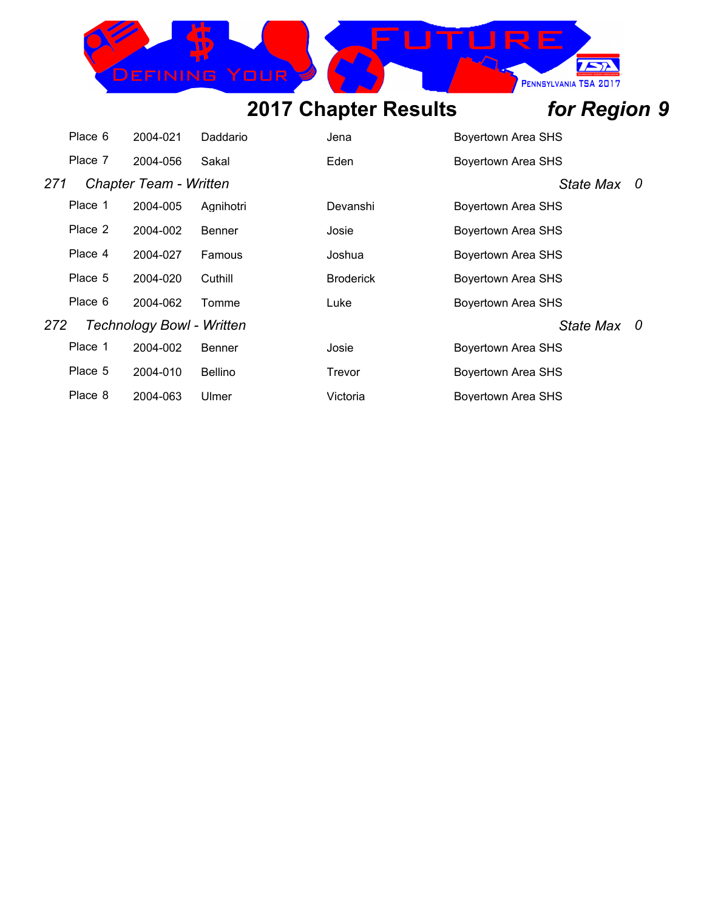## IRE DEFINING PENNSYLVANIA TSA 2017

## **2017 Chapter Results** *for Region 9*

 $\sqrt{2}$ 

|     | Place 6 | 2004-021                         | Daddario       | Jena             | Boyertown Area SHS        |  |
|-----|---------|----------------------------------|----------------|------------------|---------------------------|--|
|     | Place 7 | 2004-056                         | Sakal          | Eden             | <b>Boyertown Area SHS</b> |  |
| 271 |         | <b>Chapter Team - Written</b>    |                |                  | State Max 0               |  |
|     | Place 1 | 2004-005                         | Agnihotri      | Devanshi         | Boyertown Area SHS        |  |
|     | Place 2 | 2004-002                         | Benner         | Josie            | Boyertown Area SHS        |  |
|     | Place 4 | 2004-027                         | Famous         | Joshua           | Boyertown Area SHS        |  |
|     | Place 5 | 2004-020                         | Cuthill        | <b>Broderick</b> | Boyertown Area SHS        |  |
|     | Place 6 | 2004-062                         | Tomme          | Luke             | Boyertown Area SHS        |  |
| 272 |         | <b>Technology Bowl - Written</b> |                |                  | State Max 0               |  |
|     | Place 1 | 2004-002                         | <b>Benner</b>  | Josie            | Boyertown Area SHS        |  |
|     | Place 5 | 2004-010                         | <b>Bellino</b> | Trevor           | <b>Boyertown Area SHS</b> |  |
|     | Place 8 | 2004-063                         | Ulmer          | Victoria         | Boyertown Area SHS        |  |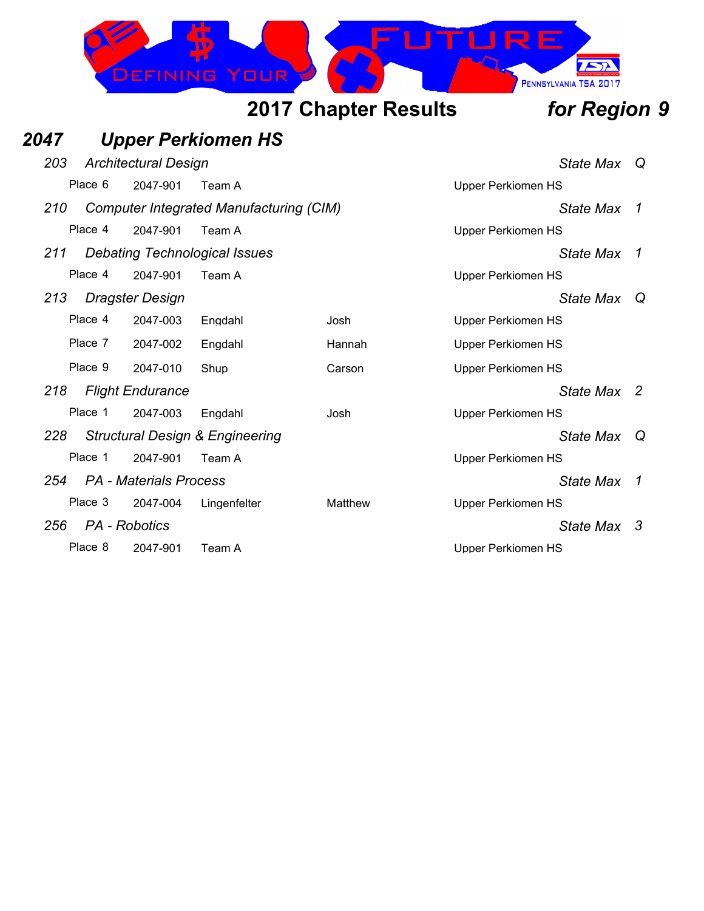

### *2047 Upper Perkiomen HS 203 Architectural Design State Max Q* Place 6 2047-901 Team A Version Contract Contract Contract Contract Contract Contract Contract Contract Contract Contract Contract Contract Contract Contract Contract Contract Contract Contract Contract Contract Contract C *210 Computer Integrated Manufacturing (CIM) State Max 1* Place 4 2047-901 Team A Contract Contract Contract Contract Contract Contract Contract Contract Contract Contract Contract Contract Contract Contract Contract Contract Contract Contract Contract Contract Contract Contract *211 Debating Technological Issues State Max 1* Place 4 2047-901 Team A Version Contract Contract Contract Contract Contract Contract Contract Contract Contract Contract Contract Contract Contract Contract Contract Contract Contract Contract Contract Contract Contract C *213 Dragster Design State Max Q* Place 4 2047-003 Engdahl Josh Josh Upper Perkiomen HS Place 7 2047-002 Engdahl Hannah Upper Perkiomen HS Place 9 2047-010 Shup Carson Carson Upper Perkiomen HS *218 Flight Endurance State Max 2* Place 1 2047-003 Engdahl Josh Josh Upper Perkiomen HS *228 Structural Design & Engineering State Max Q* Place 1 2047-901 Team A Upper Perkiomen HS *254 PA - Materials Process State Max 1* Place 3 2047-004 Lingenfelter Matthew Upper Perkiomen HS *256 PA - Robotics State Max 3* Place 8 2047-901 Team A Vertex 10 Upper Perkiomen HS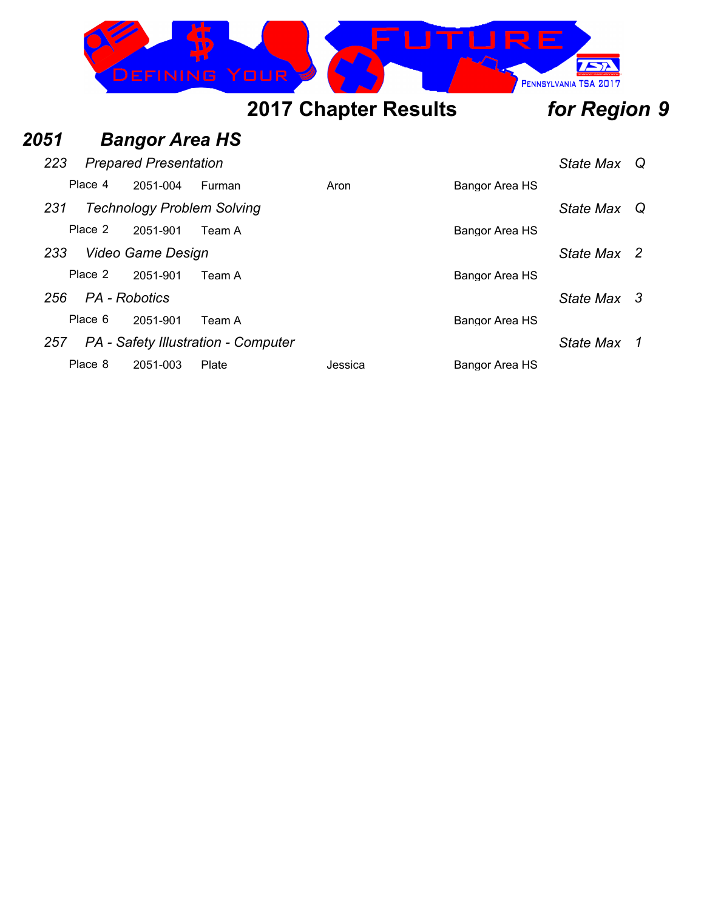

## *2051 Bangor Area HS*

| 223 |                   | <b>Prepared Presentation</b> |                                     | State Max Q |                |             |  |
|-----|-------------------|------------------------------|-------------------------------------|-------------|----------------|-------------|--|
|     | Place 4           | 2051-004                     | Furman                              | Aron        | Bangor Area HS |             |  |
| 231 |                   |                              | <b>Technology Problem Solving</b>   |             |                | State Max Q |  |
|     | Place 2           | 2051-901                     | Team A                              |             | Bangor Area HS |             |  |
| 233 | Video Game Design |                              |                                     |             |                |             |  |
|     | Place 2           | 2051-901                     | Team A                              |             | Bangor Area HS |             |  |
| 256 | PA - Robotics     |                              |                                     |             |                | State Max 3 |  |
|     | Place 6           | 2051-901                     | Team A                              |             | Bangor Area HS |             |  |
| 257 |                   |                              | PA - Safety Illustration - Computer |             |                | State Max   |  |
|     | Place 8           | 2051-003                     | Plate                               | Jessica     | Bangor Area HS |             |  |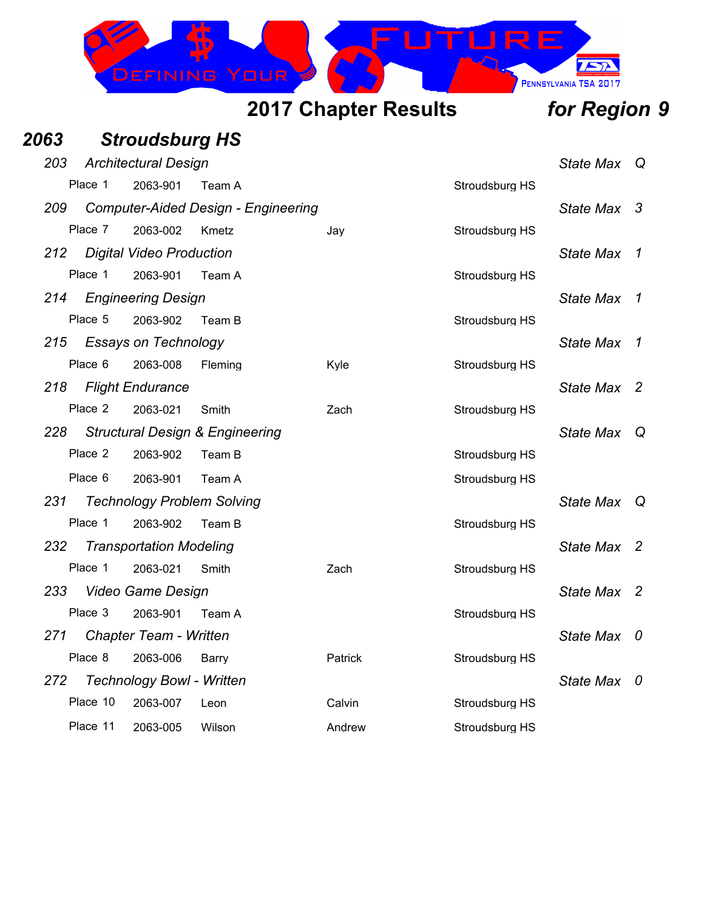

## *2063 Stroudsburg HS*

| 203 |          | <b>Architectural Design</b>      |                                            |                | <b>State Max</b> |                  |     |  |
|-----|----------|----------------------------------|--------------------------------------------|----------------|------------------|------------------|-----|--|
|     | Place 1  | 2063-901                         | Team A                                     |                | Stroudsburg HS   |                  |     |  |
| 209 |          |                                  | <b>Computer-Aided Design - Engineering</b> |                |                  | State Max 3      |     |  |
|     | Place 7  | 2063-002                         | Kmetz                                      | Jay            | Stroudsburg HS   |                  |     |  |
| 212 |          | <b>Digital Video Production</b>  |                                            |                |                  | <b>State Max</b> | 1   |  |
|     | Place 1  | 2063-901                         | Team A                                     |                | Stroudsburg HS   |                  |     |  |
|     |          | 214 Engineering Design           |                                            |                |                  | <b>State Max</b> | 1   |  |
|     | Place 5  | 2063-902                         | Team B                                     |                | Stroudsburg HS   |                  |     |  |
|     |          | 215 Essays on Technology         |                                            |                |                  | <b>State Max</b> | 1   |  |
|     | Place 6  | 2063-008                         | Fleming                                    | Kyle           | Stroudsburg HS   |                  |     |  |
|     |          | 218 Flight Endurance             |                                            |                |                  | State Max 2      |     |  |
|     | Place 2  | 2063-021                         | Smith                                      | Zach           | Stroudsburg HS   |                  |     |  |
| 228 |          |                                  | <b>Structural Design &amp; Engineering</b> |                |                  | State Max Q      |     |  |
|     | Place 2  | 2063-902                         | Team B                                     |                | Stroudsburg HS   |                  |     |  |
|     | Place 6  | 2063-901                         | Team A                                     |                | Stroudsburg HS   |                  |     |  |
| 231 |          |                                  | <b>Technology Problem Solving</b>          |                |                  | State Max Q      |     |  |
|     | Place 1  | 2063-902                         | Team B                                     |                | Stroudsburg HS   |                  |     |  |
| 232 |          | <b>Transportation Modeling</b>   |                                            |                |                  | State Max 2      |     |  |
|     | Place 1  | 2063-021                         | Smith                                      | Zach           | Stroudsburg HS   |                  |     |  |
|     |          | 233 Video Game Design            |                                            |                |                  | State Max 2      |     |  |
|     | Place 3  | 2063-901                         | Team A                                     |                | Stroudsburg HS   |                  |     |  |
|     |          | 271 Chapter Team - Written       |                                            |                |                  | State Max 0      |     |  |
|     | Place 8  | 2063-006                         | Barry                                      | <b>Patrick</b> | Stroudsburg HS   |                  |     |  |
| 272 |          | <b>Technology Bowl - Written</b> |                                            |                |                  | State Max        | - 0 |  |
|     | Place 10 | 2063-007                         | Leon                                       | Calvin         | Stroudsburg HS   |                  |     |  |
|     | Place 11 | 2063-005                         | Wilson                                     | Andrew         | Stroudsburg HS   |                  |     |  |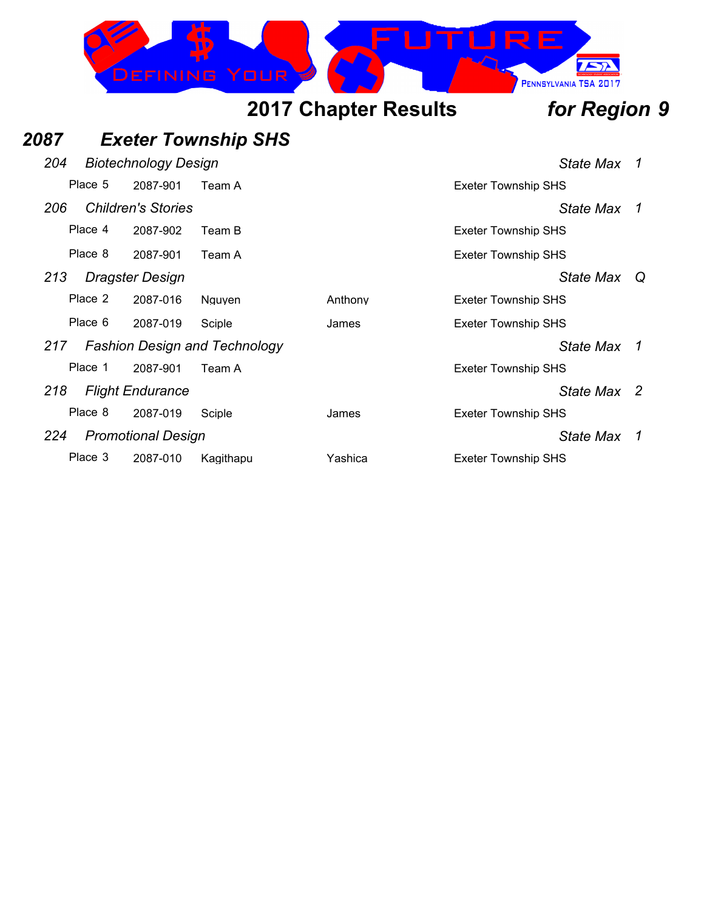

| 2087 |         |                             | <b>Exeter Township SHS</b>           |         |                            |                  |                |
|------|---------|-----------------------------|--------------------------------------|---------|----------------------------|------------------|----------------|
| 204  |         | <b>Biotechnology Design</b> |                                      |         |                            | State Max        | 1              |
|      | Place 5 | 2087-901                    | Team A                               |         | <b>Exeter Township SHS</b> |                  |                |
| 206  |         | <b>Children's Stories</b>   |                                      |         |                            | State Max 1      |                |
|      | Place 4 | 2087-902                    | Team B                               |         | <b>Exeter Township SHS</b> |                  |                |
|      | Place 8 | 2087-901                    | Team A                               |         | <b>Exeter Township SHS</b> |                  |                |
| 213  |         | Dragster Design             |                                      |         |                            | <b>State Max</b> | Q              |
|      | Place 2 | 2087-016                    | Nguyen                               | Anthony | <b>Exeter Township SHS</b> |                  |                |
|      | Place 6 | 2087-019                    | Sciple                               | James   | <b>Exeter Township SHS</b> |                  |                |
| 217  |         |                             | <b>Fashion Design and Technology</b> |         |                            | State Max        | $\overline{1}$ |
|      | Place 1 | 2087-901                    | Team A                               |         | <b>Exeter Township SHS</b> |                  |                |
| 218  |         | <b>Flight Endurance</b>     |                                      |         |                            | State Max 2      |                |
|      | Place 8 | 2087-019                    | Sciple                               | James   | <b>Exeter Township SHS</b> |                  |                |
| 224  |         | <b>Promotional Design</b>   |                                      |         |                            | State Max        | $\overline{1}$ |
|      | Place 3 | 2087-010                    | Kagithapu                            | Yashica | <b>Exeter Township SHS</b> |                  |                |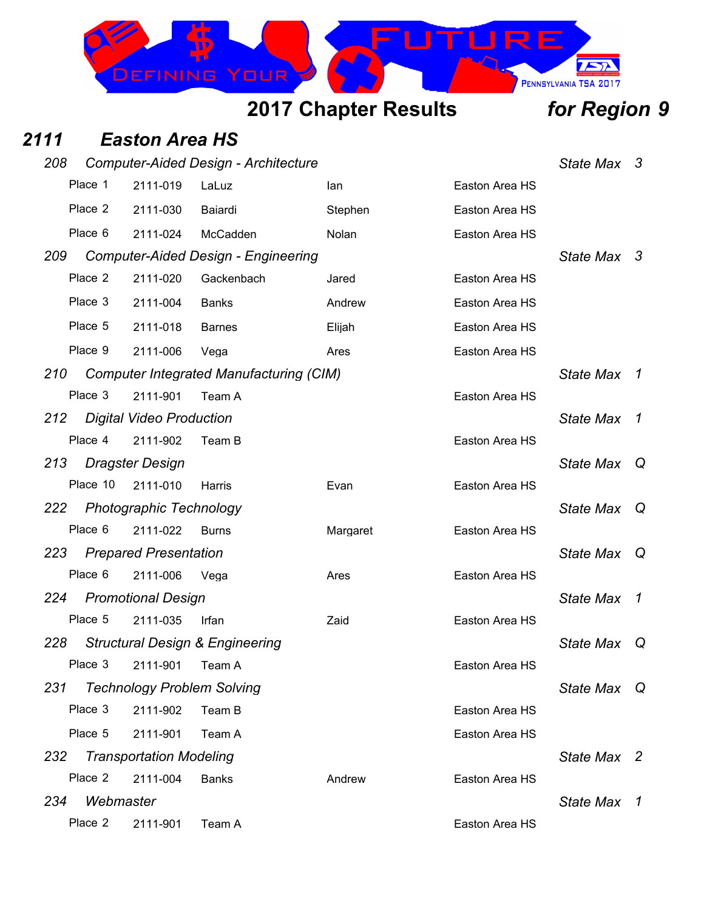

### *2111 Easton Area HS*

| 208 |           |                                | <b>Computer-Aided Design - Architecture</b>    |          |                | State Max 3      |                |
|-----|-----------|--------------------------------|------------------------------------------------|----------|----------------|------------------|----------------|
|     | Place 1   | 2111-019                       | LaLuz                                          | lan      | Easton Area HS |                  |                |
|     | Place 2   | 2111-030                       | Baiardi                                        | Stephen  | Easton Area HS |                  |                |
|     | Place 6   | 2111-024                       | McCadden                                       | Nolan    | Easton Area HS |                  |                |
| 209 |           |                                | <b>Computer-Aided Design - Engineering</b>     |          |                | State Max 3      |                |
|     | Place 2   | 2111-020                       | Gackenbach                                     | Jared    | Easton Area HS |                  |                |
|     | Place 3   | 2111-004                       | <b>Banks</b>                                   | Andrew   | Easton Area HS |                  |                |
|     | Place 5   | 2111-018                       | <b>Barnes</b>                                  | Elijah   | Easton Area HS |                  |                |
|     | Place 9   | 2111-006                       | Vega                                           | Ares     | Easton Area HS |                  |                |
| 210 |           |                                | <b>Computer Integrated Manufacturing (CIM)</b> |          |                | <b>State Max</b> | 7              |
|     | Place 3   | 2111-901                       | Team A                                         |          | Easton Area HS |                  |                |
| 212 |           | Digital Video Production       |                                                |          |                | <b>State Max</b> | $\overline{1}$ |
|     | Place 4   | 2111-902                       | Team B                                         |          | Easton Area HS |                  |                |
| 213 |           | <b>Dragster Design</b>         |                                                |          |                | <b>State Max</b> | Q              |
|     | Place 10  | 2111-010                       | Harris                                         | Evan     | Easton Area HS |                  |                |
| 222 |           | <b>Photographic Technology</b> |                                                |          |                | <b>State Max</b> | Q              |
|     | Place 6   | 2111-022                       | <b>Burns</b>                                   | Margaret | Easton Area HS |                  |                |
| 223 |           | <b>Prepared Presentation</b>   |                                                |          |                | <b>State Max</b> | Q              |
|     | Place 6   | 2111-006                       | Vega                                           | Ares     | Easton Area HS |                  |                |
| 224 |           | <b>Promotional Design</b>      |                                                |          |                | <b>State Max</b> | 1              |
|     | Place 5   | 2111-035                       | Irfan                                          | Zaid     | Easton Area HS |                  |                |
| 228 |           |                                | <b>Structural Design &amp; Engineering</b>     |          |                | <b>State Max</b> | Q              |
|     | Place 3   | 2111-901                       | Team A                                         |          | Easton Area HS |                  |                |
| 231 |           |                                | <b>Technology Problem Solving</b>              |          |                | <b>State Max</b> | Q              |
|     | Place 3   | 2111-902                       | Team B                                         |          | Easton Area HS |                  |                |
|     | Place 5   | 2111-901                       | Team A                                         |          | Easton Area HS |                  |                |
| 232 |           | <b>Transportation Modeling</b> |                                                |          |                | State Max 2      |                |
|     | Place 2   | 2111-004                       | <b>Banks</b>                                   | Andrew   | Easton Area HS |                  |                |
| 234 | Webmaster |                                |                                                |          |                | <b>State Max</b> | 7              |
|     | Place 2   | 2111-901                       | Team A                                         |          | Easton Area HS |                  |                |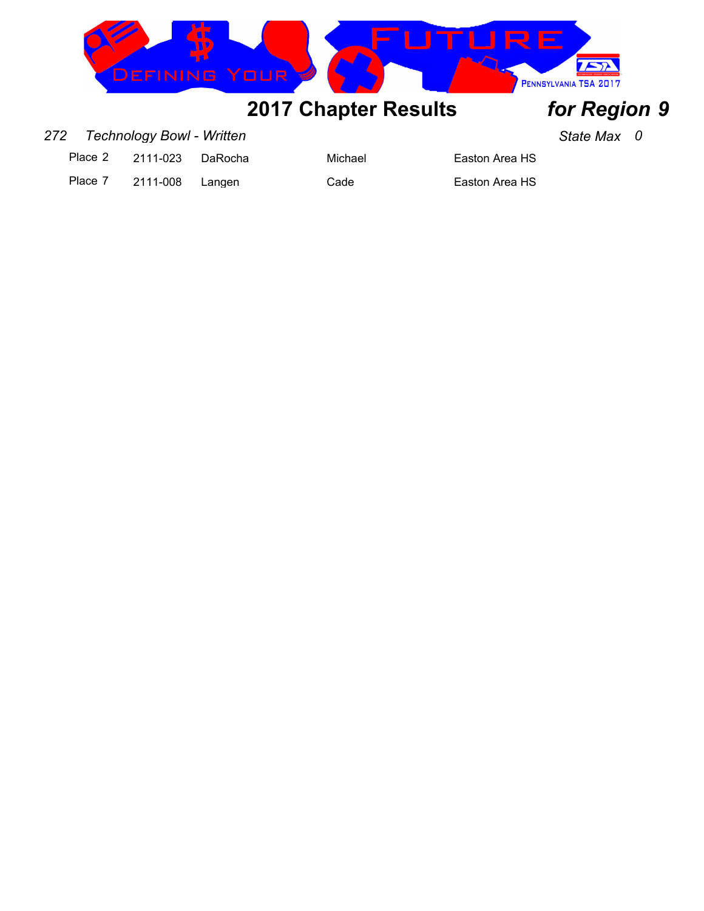

### *272 Technology Bowl - Written State Max 0*

Place 2 2111-023 DaRocha Michael Easton Area HS

Place 7 2111-008 Langen Cade Cade Easton Area HS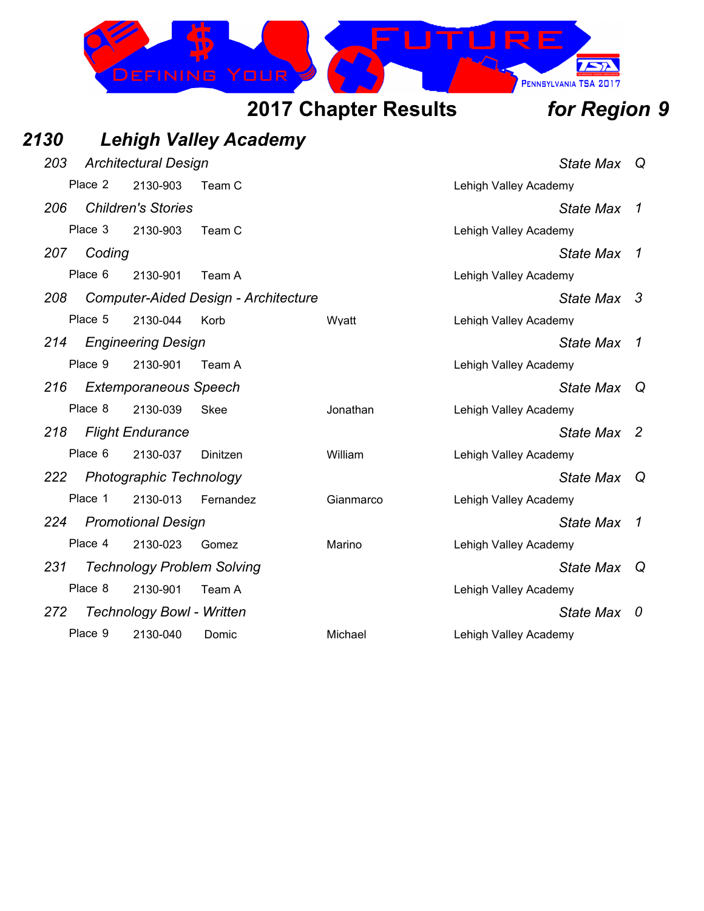

| <b>2130</b> |         |                                   | <b>Lehigh Valley Academy</b>                |           |                       |                  |                            |
|-------------|---------|-----------------------------------|---------------------------------------------|-----------|-----------------------|------------------|----------------------------|
| 203         |         | <b>Architectural Design</b>       |                                             |           |                       | State Max Q      |                            |
|             | Place 2 | 2130-903                          | Team C                                      |           | Lehigh Valley Academy |                  |                            |
| 206         |         | <b>Children's Stories</b>         |                                             |           |                       | <b>State Max</b> | 1                          |
|             | Place 3 | 2130-903                          | Team C                                      |           | Lehigh Valley Academy |                  |                            |
| 207         | Coding  |                                   |                                             |           |                       | <b>State Max</b> | $\overline{1}$             |
|             | Place 6 | 2130-901                          | Team A                                      |           | Lehigh Valley Academy |                  |                            |
| 208         |         |                                   | <b>Computer-Aided Design - Architecture</b> |           |                       | State Max 3      |                            |
|             | Place 5 | 2130-044                          | Korb                                        | Wyatt     | Lehigh Valley Academy |                  |                            |
| 214         |         | <b>Engineering Design</b>         |                                             |           |                       | <b>State Max</b> | $\overline{1}$             |
|             | Place 9 | 2130-901                          | Team A                                      |           | Lehigh Valley Academy |                  |                            |
| 216         |         | <b>Extemporaneous Speech</b>      |                                             |           |                       | <b>State Max</b> | Q                          |
|             | Place 8 | 2130-039                          | Skee                                        | Jonathan  | Lehigh Valley Academy |                  |                            |
| 218         |         | <b>Flight Endurance</b>           |                                             |           |                       | <b>State Max</b> | $\overline{\phantom{0}}^2$ |
|             | Place 6 | 2130-037                          | Dinitzen                                    | William   | Lehigh Valley Academy |                  |                            |
| 222         |         | Photographic Technology           |                                             |           |                       | <b>State Max</b> | Q                          |
|             | Place 1 | 2130-013                          | Fernandez                                   | Gianmarco | Lehigh Valley Academy |                  |                            |
| 224         |         | <b>Promotional Design</b>         |                                             |           |                       | <b>State Max</b> | 1                          |
|             | Place 4 | 2130-023                          | Gomez                                       | Marino    | Lehigh Valley Academy |                  |                            |
| 231         |         | <b>Technology Problem Solving</b> |                                             |           |                       | State Max Q      |                            |
|             | Place 8 | 2130-901                          | Team A                                      |           | Lehigh Valley Academy |                  |                            |
| 272         |         | <b>Technology Bowl - Written</b>  |                                             |           |                       | <b>State Max</b> | - 0                        |
|             | Place 9 | 2130-040                          | Domic                                       | Michael   | Lehigh Valley Academy |                  |                            |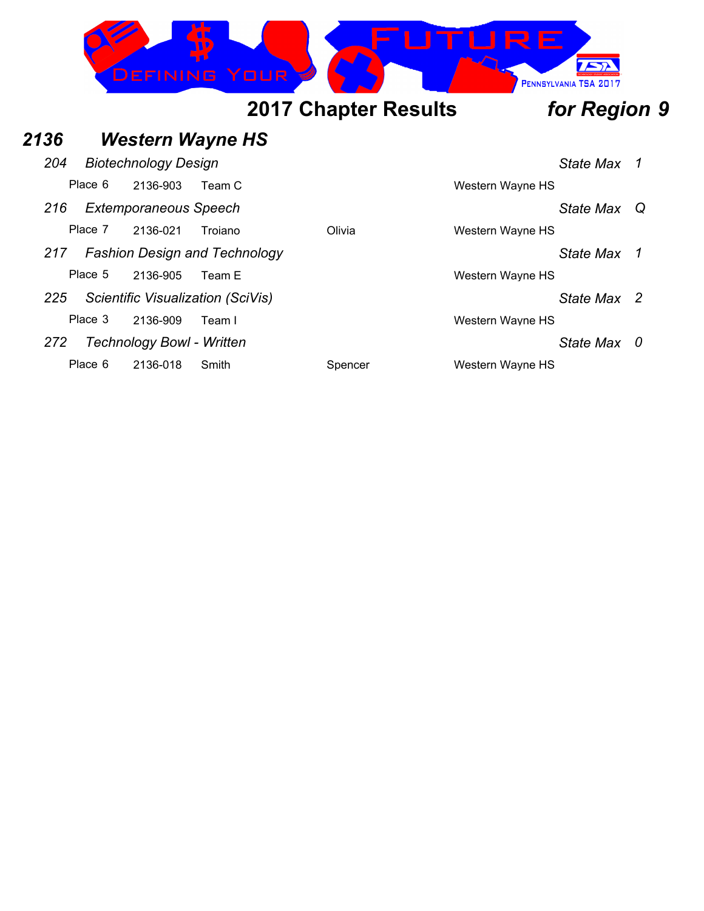

### *2136 Western Wayne HS*

| 204 |         | <b>Biotechnology Design</b>      |                                      |         |                  |
|-----|---------|----------------------------------|--------------------------------------|---------|------------------|
|     | Place 6 | 2136-903                         | Team C                               |         | Western Wayne HS |
| 216 |         | <b>Extemporaneous Speech</b>     |                                      |         |                  |
|     | Place 7 | 2136-021                         | Troiano                              | Olivia  | Western Wayne HS |
| 217 |         |                                  | <b>Fashion Design and Technology</b> |         |                  |
|     | Place 5 | 2136-905                         | Team E                               |         | Western Wayne HS |
| 225 |         |                                  | Scientific Visualization (SciVis)    |         |                  |
|     | Place 3 | 2136-909                         | Team I                               |         | Western Wayne HS |
| 272 |         | <b>Technology Bowl - Written</b> |                                      |         |                  |
|     | Place 6 | 2136-018                         | Smith                                | Spencer | Western Wayne HS |

*204 Biotechnology Design State Max 1*

### *216 Extemporaneous Speech State Max Q*

*217 Fashion Design and Technology State Max 1*

*225 Scientific Visualization (SciVis) State Max 2*

### *272 Technology Bowl - Written State Max 0*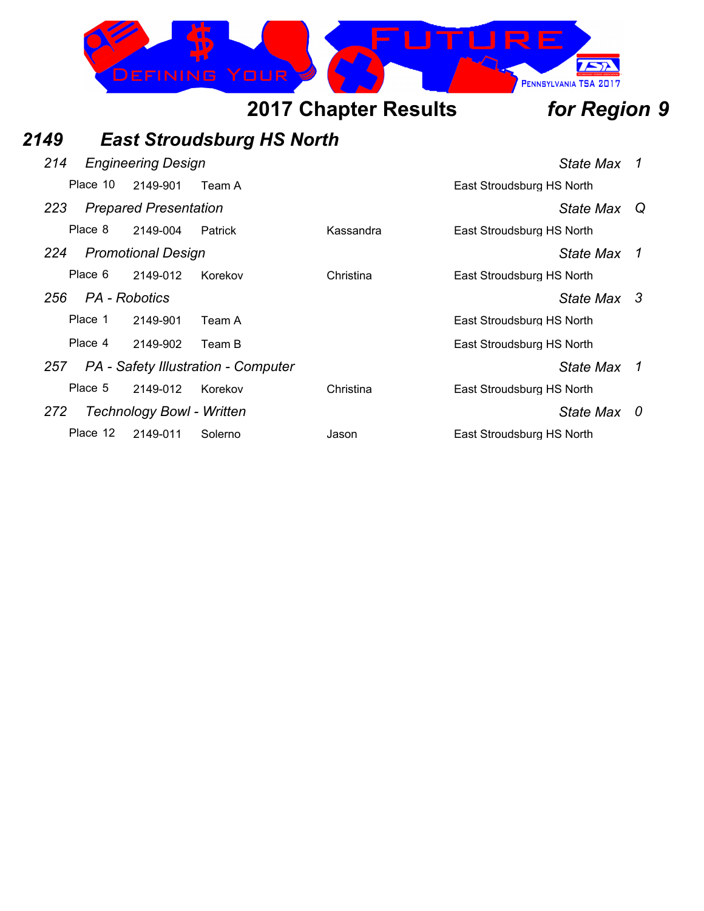

## *2149 East Stroudsburg HS North*

| 214 |                                | <b>Engineering Design</b> |                                     | State Max                 | 7                         |  |
|-----|--------------------------------|---------------------------|-------------------------------------|---------------------------|---------------------------|--|
|     | Place 10<br>2149-901<br>Team A |                           |                                     | East Stroudsburg HS North |                           |  |
| 223 | <b>Prepared Presentation</b>   |                           |                                     |                           | State Max Q               |  |
|     | Place 8                        | 2149-004                  | Patrick                             | Kassandra                 | East Stroudsburg HS North |  |
| 224 |                                | <b>Promotional Design</b> |                                     | State Max                 | 1                         |  |
|     | Place 6                        | 2149-012                  | Korekov                             | Christina                 | East Stroudsburg HS North |  |
| 256 |                                | PA - Robotics             |                                     |                           | State Max 3               |  |
|     | Place 1                        | 2149-901                  | Team A                              |                           | East Stroudsburg HS North |  |
|     | Place 4                        | 2149-902                  | Team B                              |                           | East Stroudsburg HS North |  |
| 257 |                                |                           | PA - Safety Illustration - Computer |                           | State Max 1               |  |
|     | Place 5                        | 2149-012                  | Korekov                             | Christina                 | East Stroudsburg HS North |  |
| 272 |                                | Technology Bowl - Written |                                     |                           | State Max 0               |  |
|     | Place 12                       | 2149-011                  | Solerno                             | Jason                     | East Stroudsburg HS North |  |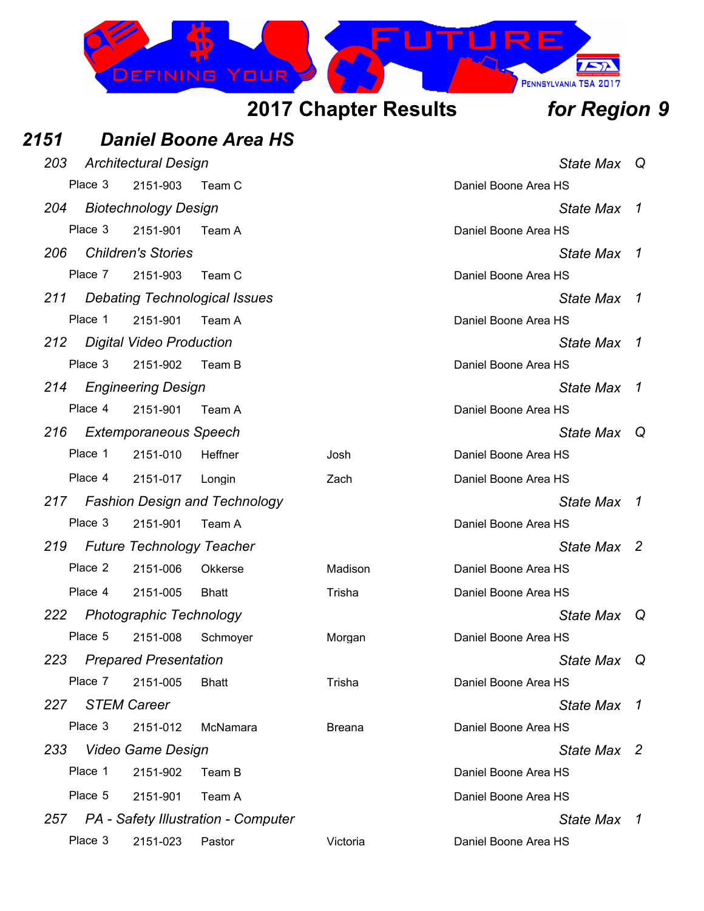

| 2151 |         |                                  | <b>Daniel Boone Area HS</b>             |                      |                      |                  |                |
|------|---------|----------------------------------|-----------------------------------------|----------------------|----------------------|------------------|----------------|
| 203  |         | <b>Architectural Design</b>      |                                         |                      |                      | State Max Q      |                |
|      | Place 3 | 2151-903<br>Team C               |                                         | Daniel Boone Area HS |                      |                  |                |
| 204  |         | <b>Biotechnology Design</b>      |                                         |                      |                      | <b>State Max</b> | $\overline{1}$ |
|      | Place 3 | 2151-901                         | Team A                                  |                      | Daniel Boone Area HS |                  |                |
| 206  |         | <b>Children's Stories</b>        |                                         |                      |                      | <b>State Max</b> | -7             |
|      | Place 7 | 2151-903                         | Team C                                  |                      | Daniel Boone Area HS |                  |                |
| 211  |         |                                  | <b>Debating Technological Issues</b>    |                      |                      | <b>State Max</b> | $\overline{1}$ |
|      | Place 1 | 2151-901                         | Team A                                  |                      | Daniel Boone Area HS |                  |                |
| 212  |         | <b>Digital Video Production</b>  |                                         |                      |                      | <b>State Max</b> | 1              |
|      | Place 3 | 2151-902                         | Team B                                  |                      | Daniel Boone Area HS |                  |                |
| 214  |         | <b>Engineering Design</b>        |                                         |                      |                      | <b>State Max</b> | $\overline{1}$ |
|      | Place 4 | 2151-901                         | Team A                                  |                      | Daniel Boone Area HS |                  |                |
| 216  |         | <b>Extemporaneous Speech</b>     |                                         |                      |                      | State Max        | Q              |
|      | Place 1 | 2151-010                         | Heffner                                 | Josh                 | Daniel Boone Area HS |                  |                |
|      | Place 4 | 2151-017                         | Longin                                  | Zach                 | Daniel Boone Area HS |                  |                |
| 217  |         |                                  | <b>Fashion Design and Technology</b>    |                      |                      | <b>State Max</b> | 1              |
|      | Place 3 | 2151-901                         | Team A                                  |                      | Daniel Boone Area HS |                  |                |
| 219  |         | <b>Future Technology Teacher</b> |                                         |                      |                      | State Max 2      |                |
|      | Place 2 | 2151-006                         | <b>Okkerse</b>                          | Madison              | Daniel Boone Area HS |                  |                |
|      | Place 4 | 2151-005                         | <b>Bhatt</b>                            | Trisha               | Daniel Boone Area HS |                  |                |
| 222  |         | <b>Photographic Technology</b>   |                                         |                      |                      | <b>State Max</b> | $\mathsf Q$    |
|      | Place 5 | 2151-008                         | Schmoyer                                | Morgan               | Daniel Boone Area HS |                  |                |
| 223  |         | <b>Prepared Presentation</b>     |                                         |                      |                      | State Max        | $\Omega$       |
|      | Place 7 | 2151-005                         | <b>Bhatt</b>                            | Trisha               | Daniel Boone Area HS |                  |                |
| 227  |         | <b>STEM Career</b>               |                                         |                      |                      | <b>State Max</b> | $\overline{1}$ |
|      | Place 3 | 2151-012                         | McNamara                                | <b>Breana</b>        | Daniel Boone Area HS |                  |                |
| 233  |         | Video Game Design                |                                         |                      |                      | State Max 2      |                |
|      | Place 1 | 2151-902                         | Team B                                  |                      | Daniel Boone Area HS |                  |                |
|      | Place 5 | 2151-901                         | Team A                                  |                      | Daniel Boone Area HS |                  |                |
|      |         |                                  | 257 PA - Safety Illustration - Computer |                      |                      | State Max 1      |                |
|      | Place 3 | 2151-023                         | Pastor                                  | Victoria             | Daniel Boone Area HS |                  |                |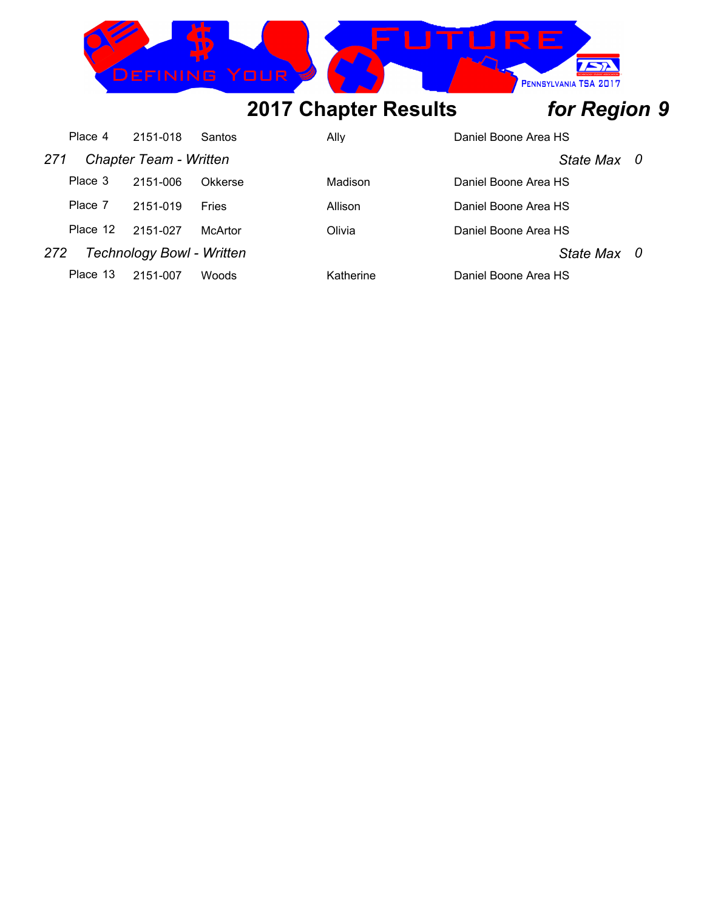

|     | Place 4  | 2151-018                         | Santos       | Ally      | Daniel Boone Area HS |  |
|-----|----------|----------------------------------|--------------|-----------|----------------------|--|
| 271 |          | <b>Chapter Team - Written</b>    |              |           | State Max 0          |  |
|     | Place 3  | 2151-006                         | Okkerse      | Madison   | Daniel Boone Area HS |  |
|     | Place 7  | 2151-019                         | <b>Fries</b> | Allison   | Daniel Boone Area HS |  |
|     | Place 12 | 2151-027                         | McArtor      | Olivia    | Daniel Boone Area HS |  |
| 272 |          | <b>Technology Bowl - Written</b> |              |           | State Max 0          |  |
|     | Place 13 | 2151-007                         | <b>Woods</b> | Katherine | Daniel Boone Area HS |  |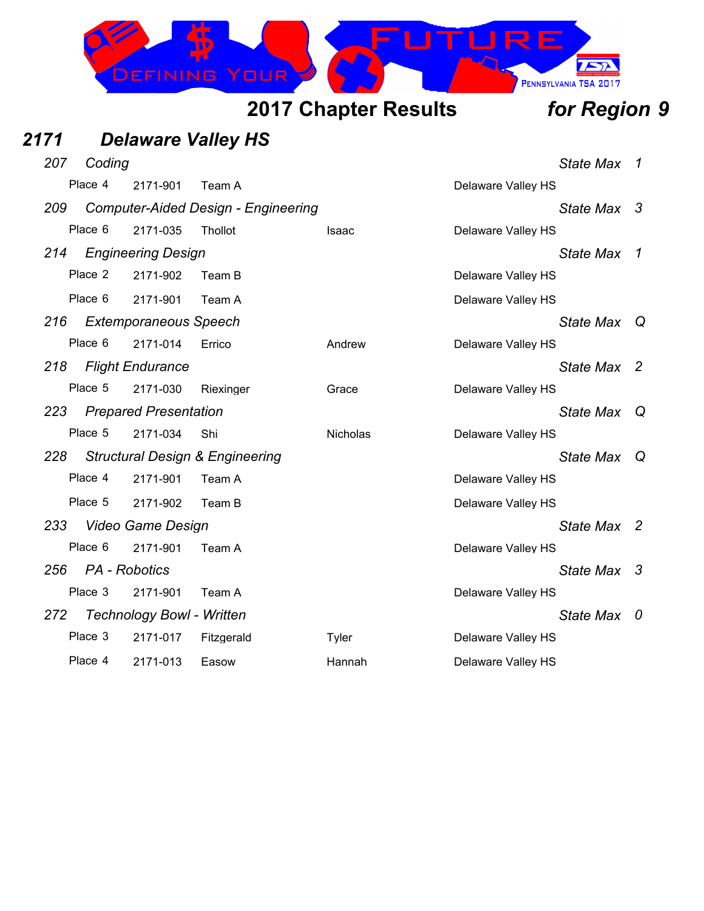

| 2171 |         |               |                                  | <b>Delaware Valley HS</b>                  |                 |                    |                  |                |
|------|---------|---------------|----------------------------------|--------------------------------------------|-----------------|--------------------|------------------|----------------|
| 207  |         | Coding        |                                  |                                            |                 |                    | State Max        | $\overline{1}$ |
|      | Place 4 |               | 2171-901                         | Team A                                     |                 | Delaware Valley HS |                  |                |
| 209  |         |               |                                  | <b>Computer-Aided Design - Engineering</b> |                 |                    | State Max 3      |                |
|      | Place 6 |               | 2171-035                         | Thollot                                    | Isaac           | Delaware Valley HS |                  |                |
| 214  |         |               | <b>Engineering Design</b>        |                                            |                 |                    | <b>State Max</b> | 1              |
|      | Place 2 |               | 2171-902                         | Team B                                     |                 | Delaware Valley HS |                  |                |
|      | Place 6 |               | 2171-901                         | Team A                                     |                 | Delaware Valley HS |                  |                |
| 216  |         |               | <b>Extemporaneous Speech</b>     |                                            |                 |                    | State Max Q      |                |
|      | Place 6 |               | 2171-014                         | Errico                                     | Andrew          | Delaware Valley HS |                  |                |
| 218  |         |               | <b>Flight Endurance</b>          |                                            |                 |                    | State Max 2      |                |
|      | Place 5 |               | 2171-030                         | Riexinger                                  | Grace           | Delaware Valley HS |                  |                |
| 223  |         |               | <b>Prepared Presentation</b>     |                                            |                 |                    | State Max        | ∣ Q            |
|      | Place 5 |               | 2171-034                         | Shi                                        | <b>Nicholas</b> | Delaware Valley HS |                  |                |
| 228  |         |               |                                  | <b>Structural Design &amp; Engineering</b> |                 |                    | State Max        | - Q            |
|      | Place 4 |               | 2171-901                         | Team A                                     |                 | Delaware Valley HS |                  |                |
|      | Place 5 |               | 2171-902                         | Team B                                     |                 | Delaware Valley HS |                  |                |
| 233  |         |               | Video Game Design                |                                            |                 |                    | State Max 2      |                |
|      | Place 6 |               | 2171-901                         | Team A                                     |                 | Delaware Valley HS |                  |                |
| 256  |         | PA - Robotics |                                  |                                            |                 |                    | State Max 3      |                |
|      | Place 3 |               | 2171-901                         | Team A                                     |                 | Delaware Valley HS |                  |                |
| 272  |         |               | <b>Technology Bowl - Written</b> |                                            |                 |                    | State Max 0      |                |
|      | Place 3 |               | 2171-017                         | Fitzgerald                                 | Tyler           | Delaware Valley HS |                  |                |
|      | Place 4 |               | 2171-013                         | Easow                                      | Hannah          | Delaware Valley HS |                  |                |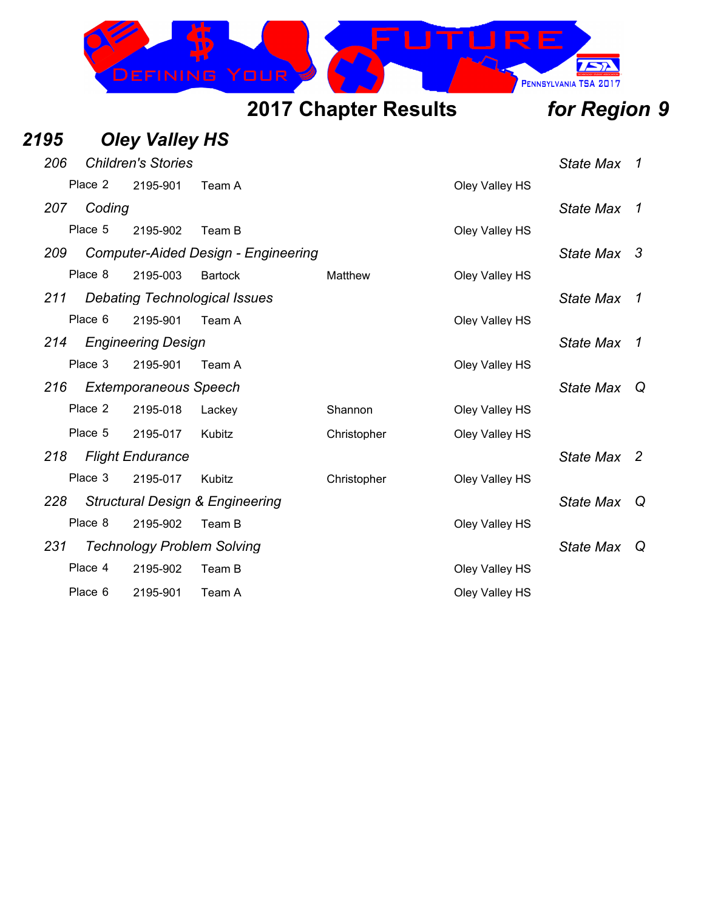

### *2195 Oley Valley HS 206 Children's Stories State Max 1* Place 2 2195-901 Team A Cley Valley HS *207 Coding State Max 1* Place 5 2195-902 Team B Oley Valley HS *209 Computer-Aided Design - Engineering State Max 3* Place 8 2195-003 Bartock Matthew Oley Valley HS *211 Debating Technological Issues State Max 1* Place 6 2195-901 Team A Clev Valley HS *214 Engineering Design State Max 1* Place 3 2195-901 Team A Clev Valley HS *216 Extemporaneous Speech State Max Q* Place 2 2195-018 Lackey Shannon Oley Valley HS Place 5 2195-017 Kubitz Christopher Oley Valley HS *218 Flight Endurance State Max 2* Place 3 2195-017 Kubitz Christopher Oley Valley HS *228 Structural Design & Engineering State Max Q* Place 8 2195-902 Team B Oley Valley HS *231 Technology Problem Solving State Max Q* Place 4 2195-902 Team B Oley Valley HS Place 6 2195-901 Team A Clev Valley HS